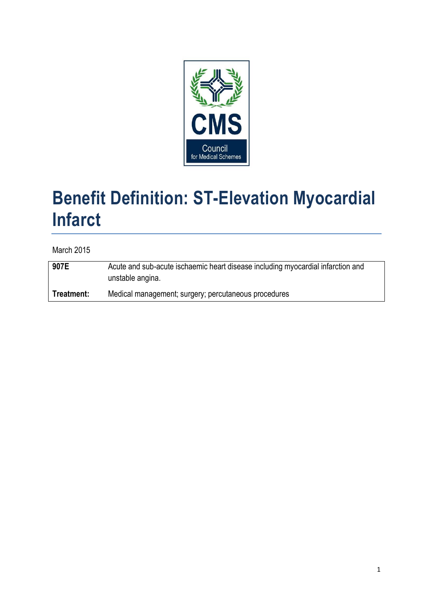

# **Benefit Definition: ST-Elevation Myocardial Infarct**

March 2015

**907E** Acute and sub-acute ischaemic heart disease including myocardial infarction and unstable angina. **Treatment:** Medical management; surgery; percutaneous procedures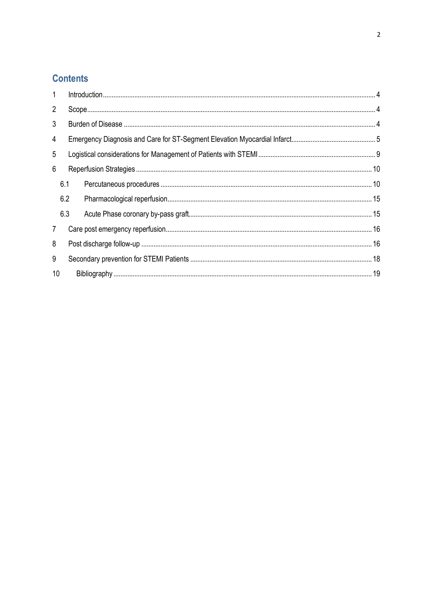## **Contents**

| 8 |                   |  |
|---|-------------------|--|
| 9 |                   |  |
|   |                   |  |
|   | 6.1<br>6.2<br>6.3 |  |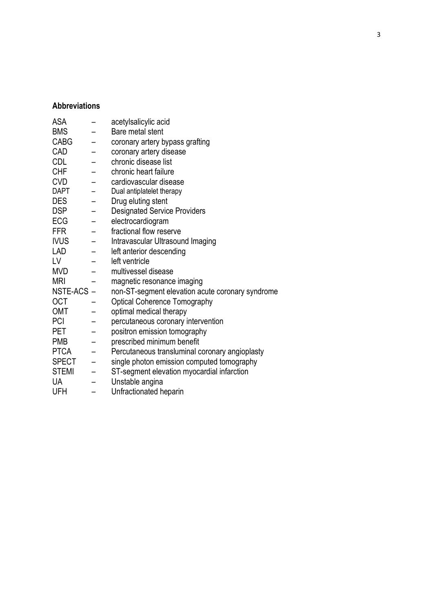## **Abbreviations**

| <b>ASA</b>   | acetylsalicylic acid                             |
|--------------|--------------------------------------------------|
| <b>BMS</b>   | Bare metal stent                                 |
| <b>CABG</b>  | coronary artery bypass grafting                  |
| CAD          | coronary artery disease                          |
| <b>CDL</b>   | chronic disease list                             |
| <b>CHF</b>   | chronic heart failure                            |
| <b>CVD</b>   | cardiovascular disease                           |
| <b>DAPT</b>  | Dual antiplatelet therapy                        |
| <b>DES</b>   | Drug eluting stent                               |
| <b>DSP</b>   | <b>Designated Service Providers</b>              |
| <b>ECG</b>   | electrocardiogram                                |
| <b>FFR</b>   | fractional flow reserve                          |
| <b>IVUS</b>  | Intravascular Ultrasound Imaging                 |
| <b>LAD</b>   | left anterior descending                         |
| LV           | left ventricle                                   |
| <b>MVD</b>   | multivessel disease                              |
| <b>MRI</b>   | magnetic resonance imaging                       |
| NSTE-ACS-    | non-ST-segment elevation acute coronary syndrome |
| <b>OCT</b>   | <b>Optical Coherence Tomography</b>              |
| <b>OMT</b>   | optimal medical therapy                          |
| PCI          | percutaneous coronary intervention               |
| PET          | positron emission tomography                     |
| <b>PMB</b>   | prescribed minimum benefit                       |
| <b>PTCA</b>  | Percutaneous transluminal coronary angioplasty   |
| <b>SPECT</b> | single photon emission computed tomography       |
| <b>STEMI</b> | ST-segment elevation myocardial infarction       |
| <b>UA</b>    | Unstable angina                                  |
| UFH          | Unfractionated heparin                           |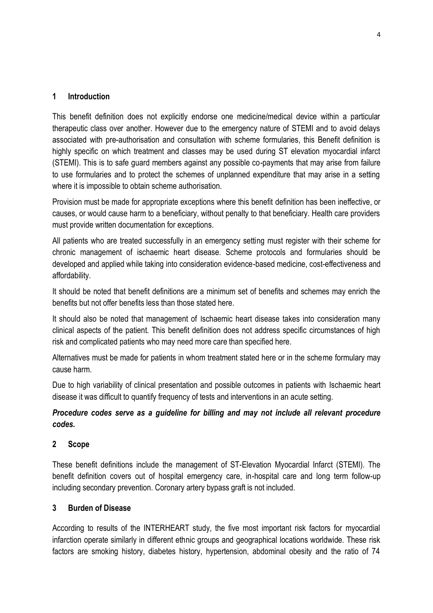### <span id="page-3-0"></span>**1 Introduction**

This benefit definition does not explicitly endorse one medicine/medical device within a particular therapeutic class over another. However due to the emergency nature of STEMI and to avoid delays associated with pre-authorisation and consultation with scheme formularies, this Benefit definition is highly specific on which treatment and classes may be used during ST elevation myocardial infarct (STEMI). This is to safe guard members against any possible co-payments that may arise from failure to use formularies and to protect the schemes of unplanned expenditure that may arise in a setting where it is impossible to obtain scheme authorisation.

Provision must be made for appropriate exceptions where this benefit definition has been ineffective, or causes, or would cause harm to a beneficiary, without penalty to that beneficiary. Health care providers must provide written documentation for exceptions.

All patients who are treated successfully in an emergency setting must register with their scheme for chronic management of ischaemic heart disease. Scheme protocols and formularies should be developed and applied while taking into consideration evidence-based medicine, cost-effectiveness and affordability.

It should be noted that benefit definitions are a minimum set of benefits and schemes may enrich the benefits but not offer benefits less than those stated here.

It should also be noted that management of Ischaemic heart disease takes into consideration many clinical aspects of the patient. This benefit definition does not address specific circumstances of high risk and complicated patients who may need more care than specified here.

Alternatives must be made for patients in whom treatment stated here or in the scheme formulary may cause harm.

Due to high variability of clinical presentation and possible outcomes in patients with Ischaemic heart disease it was difficult to quantify frequency of tests and interventions in an acute setting.

## *Procedure codes serve as a guideline for billing and may not include all relevant procedure codes.*

## <span id="page-3-1"></span>**2 Scope**

These benefit definitions include the management of ST-Elevation Myocardial Infarct (STEMI). The benefit definition covers out of hospital emergency care, in-hospital care and long term follow-up including secondary prevention. Coronary artery bypass graft is not included.

## <span id="page-3-2"></span>**3 Burden of Disease**

According to results of the INTERHEART study, the five most important risk factors for myocardial infarction operate similarly in different ethnic groups and geographical locations worldwide. These risk factors are smoking history, diabetes history, hypertension, abdominal obesity and the ratio of 74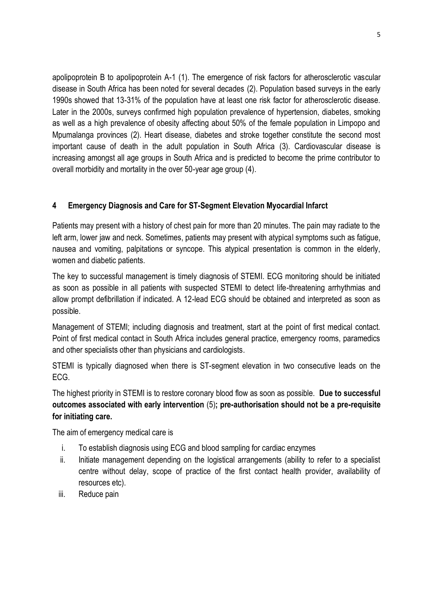apolipoprotein B to apolipoprotein A-1 (1). The emergence of risk factors for atherosclerotic vascular disease in South Africa has been noted for several decades (2). Population based surveys in the early 1990s showed that 13-31% of the population have at least one risk factor for atherosclerotic disease. Later in the 2000s, surveys confirmed high population prevalence of hypertension, diabetes, smoking as well as a high prevalence of obesity affecting about 50% of the female population in Limpopo and Mpumalanga provinces (2). Heart disease, diabetes and stroke together constitute the second most important cause of death in the adult population in South Africa (3). Cardiovascular disease is increasing amongst all age groups in South Africa and is predicted to become the prime contributor to overall morbidity and mortality in the over 50-year age group (4).

## <span id="page-4-0"></span>**4 Emergency Diagnosis and Care for ST-Segment Elevation Myocardial Infarct**

Patients may present with a history of chest pain for more than 20 minutes. The pain may radiate to the left arm, lower jaw and neck. Sometimes, patients may present with atypical symptoms such as fatigue, nausea and vomiting, palpitations or syncope. This atypical presentation is common in the elderly, women and diabetic patients.

The key to successful management is timely diagnosis of STEMI. ECG monitoring should be initiated as soon as possible in all patients with suspected STEMI to detect life-threatening arrhythmias and allow prompt defibrillation if indicated. A 12-lead ECG should be obtained and interpreted as soon as possible.

Management of STEMI; including diagnosis and treatment, start at the point of first medical contact. Point of first medical contact in South Africa includes general practice, emergency rooms, paramedics and other specialists other than physicians and cardiologists.

STEMI is typically diagnosed when there is ST-segment elevation in two consecutive leads on the ECG.

The highest priority in STEMI is to restore coronary blood flow as soon as possible. **Due to successful outcomes associated with early intervention** (5)**; pre-authorisation should not be a pre-requisite for initiating care.**

The aim of emergency medical care is

- i. To establish diagnosis using ECG and blood sampling for cardiac enzymes
- ii. Initiate management depending on the logistical arrangements (ability to refer to a specialist centre without delay, scope of practice of the first contact health provider, availability of resources etc).
- iii. Reduce pain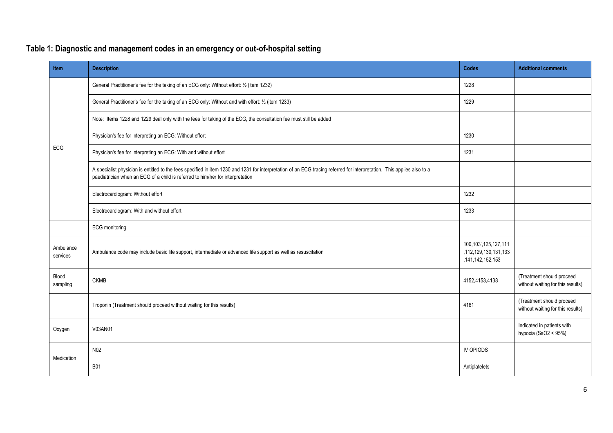| Table 1: Diagnostic and management codes in an emergency or out-of-hospital setting |  |  |
|-------------------------------------------------------------------------------------|--|--|
|                                                                                     |  |  |

| <b>Item</b>           | <b>Description</b>                                                                                                                                                                                                                                        | Codes                                                                | <b>Additional comments</b>                                     |
|-----------------------|-----------------------------------------------------------------------------------------------------------------------------------------------------------------------------------------------------------------------------------------------------------|----------------------------------------------------------------------|----------------------------------------------------------------|
|                       | General Practitioner's fee for the taking of an ECG only: Without effort: 1/2 (item 1232)                                                                                                                                                                 | 1228                                                                 |                                                                |
|                       | General Practitioner's fee for the taking of an ECG only: Without and with effort: 1/2 (item 1233)                                                                                                                                                        | 1229                                                                 |                                                                |
|                       | Note: Items 1228 and 1229 deal only with the fees for taking of the ECG, the consultation fee must still be added                                                                                                                                         |                                                                      |                                                                |
|                       | Physician's fee for interpreting an ECG: Without effort                                                                                                                                                                                                   | 1230                                                                 |                                                                |
| ECG                   | Physician's fee for interpreting an ECG: With and without effort                                                                                                                                                                                          | 1231                                                                 |                                                                |
|                       | A specialist physician is entitled to the fees specified in item 1230 and 1231 for interpretation of an ECG tracing referred for interpretation. This applies also to a<br>paediatrician when an ECG of a child is referred to him/her for interpretation |                                                                      |                                                                |
|                       | Electrocardiogram: Without effort                                                                                                                                                                                                                         | 1232                                                                 |                                                                |
|                       | Electrocardiogram: With and without effort                                                                                                                                                                                                                | 1233                                                                 |                                                                |
|                       | ECG monitoring                                                                                                                                                                                                                                            |                                                                      |                                                                |
| Ambulance<br>services | Ambulance code may include basic life support, intermediate or advanced life support as well as resuscitation                                                                                                                                             | 100, 103', 125, 127, 111<br>,112,129,130,131,133<br>,141,142,152,153 |                                                                |
| Blood<br>sampling     | <b>CKMB</b>                                                                                                                                                                                                                                               | 4152,4153,4138                                                       | (Treatment should proceed<br>without waiting for this results) |
|                       | Troponin (Treatment should proceed without waiting for this results)                                                                                                                                                                                      | 4161                                                                 | (Treatment should proceed<br>without waiting for this results) |
| Oxygen                | V03AN01                                                                                                                                                                                                                                                   |                                                                      | Indicated in patients with<br>hypoxia (SaO2 < 95%)             |
| Medication            | N02                                                                                                                                                                                                                                                       | IV OPIODS                                                            |                                                                |
|                       | <b>B01</b>                                                                                                                                                                                                                                                | Antiplatelets                                                        |                                                                |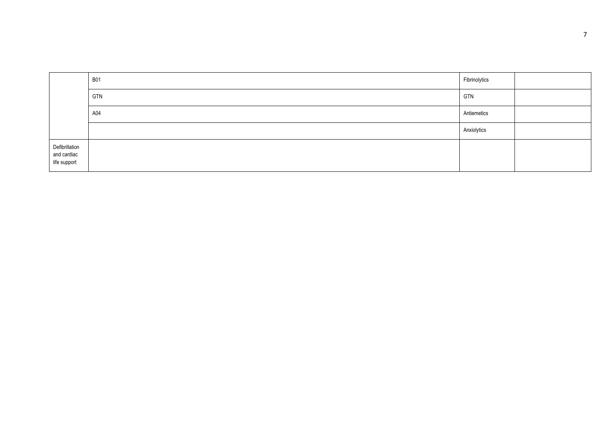|                                               | <b>B01</b> | Fibrinolytics |  |
|-----------------------------------------------|------------|---------------|--|
|                                               | GTN        | <b>GTN</b>    |  |
|                                               | A04        | Antiemetics   |  |
|                                               |            | Anxiolytics   |  |
| Defibrillation<br>and cardiac<br>life support |            |               |  |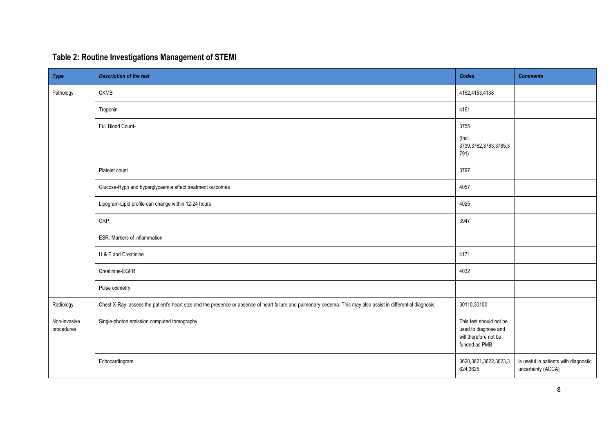| Table 2: Routine Investigations Management of STEMI |  |  |
|-----------------------------------------------------|--|--|
|                                                     |  |  |

| Type                       | <b>Description of the test</b>                                                                                                                                 | Codes                                                                                     | <b>Comments</b>                                             |
|----------------------------|----------------------------------------------------------------------------------------------------------------------------------------------------------------|-------------------------------------------------------------------------------------------|-------------------------------------------------------------|
| Pathology                  | <b>CKMB</b>                                                                                                                                                    | 4152,4153,4138                                                                            |                                                             |
|                            | Troponin                                                                                                                                                       | 4161                                                                                      |                                                             |
|                            | Full Blood Count-                                                                                                                                              | 3755<br>(Incl.<br>3739,3762,3783,3785,3<br>791)                                           |                                                             |
|                            | Platelet count                                                                                                                                                 | 3797                                                                                      |                                                             |
|                            | Glucose-Hypo and hyperglycaemia affect treatment outcomes                                                                                                      | 4057                                                                                      |                                                             |
|                            | Lipogram-Lipid profile can change within 12-24 hours                                                                                                           | 4025                                                                                      |                                                             |
|                            | CRP                                                                                                                                                            | 3947                                                                                      |                                                             |
|                            | ESR: Markers of inflammation                                                                                                                                   |                                                                                           |                                                             |
|                            | U & E and Creatinine                                                                                                                                           | 4171                                                                                      |                                                             |
|                            | Creatinine-EGFR                                                                                                                                                | 4032                                                                                      |                                                             |
|                            | Pulse oximetry                                                                                                                                                 |                                                                                           |                                                             |
| Radiology                  | Chest X-Ray: assess the patient's heart size and the presence or absence of heart failure and pulmonary oedema. This may also assist in differential diagnosis | 30110,30100                                                                               |                                                             |
| Non-invasive<br>procedures | Single-photon emission computed tomography                                                                                                                     | This test should not be<br>used to diagnose and<br>will therefore not be<br>funded as PMB |                                                             |
|                            | Echocardiogram                                                                                                                                                 | 3620, 3621, 3622, 3623, 3<br>624,3625                                                     | is useful in patients with diagnostic<br>uncertainty (ACCA) |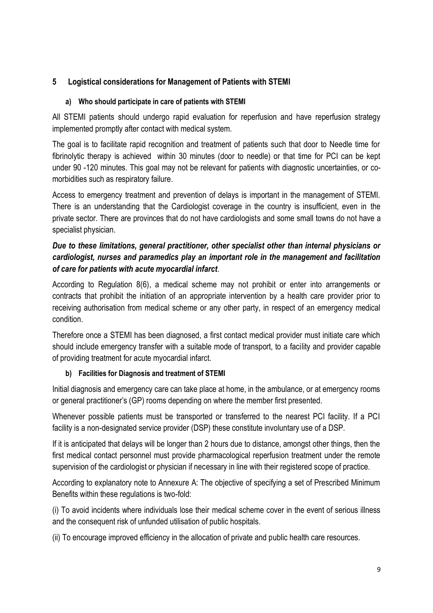## <span id="page-8-0"></span>**5 Logistical considerations for Management of Patients with STEMI**

## **a) Who should participate in care of patients with STEMI**

All STEMI patients should undergo rapid evaluation for reperfusion and have reperfusion strategy implemented promptly after contact with medical system.

The goal is to facilitate rapid recognition and treatment of patients such that door to Needle time for fibrinolytic therapy is achieved within 30 minutes (door to needle) or that time for PCI can be kept under 90 -120 minutes. This goal may not be relevant for patients with diagnostic uncertainties, or comorbidities such as respiratory failure.

Access to emergency treatment and prevention of delays is important in the management of STEMI. There is an understanding that the Cardiologist coverage in the country is insufficient, even in the private sector. There are provinces that do not have cardiologists and some small towns do not have a specialist physician.

## *Due to these limitations, general practitioner, other specialist other than internal physicians or cardiologist, nurses and paramedics play an important role in the management and facilitation of care for patients with acute myocardial infarct*.

According to Regulation 8(6), a medical scheme may not prohibit or enter into arrangements or contracts that prohibit the initiation of an appropriate intervention by a health care provider prior to receiving authorisation from medical scheme or any other party, in respect of an emergency medical condition.

Therefore once a STEMI has been diagnosed, a first contact medical provider must initiate care which should include emergency transfer with a suitable mode of transport, to a facility and provider capable of providing treatment for acute myocardial infarct.

## **b) Facilities for Diagnosis and treatment of STEMI**

Initial diagnosis and emergency care can take place at home, in the ambulance, or at emergency rooms or general practitioner's (GP) rooms depending on where the member first presented.

Whenever possible patients must be transported or transferred to the nearest PCI facility. If a PCI facility is a non-designated service provider (DSP) these constitute involuntary use of a DSP.

If it is anticipated that delays will be longer than 2 hours due to distance, amongst other things, then the first medical contact personnel must provide pharmacological reperfusion treatment under the remote supervision of the cardiologist or physician if necessary in line with their registered scope of practice.

According to explanatory note to Annexure A: The objective of specifying a set of Prescribed Minimum Benefits within these regulations is two-fold:

(i) To avoid incidents where individuals lose their medical scheme cover in the event of serious illness and the consequent risk of unfunded utilisation of public hospitals.

(ii) To encourage improved efficiency in the allocation of private and public health care resources.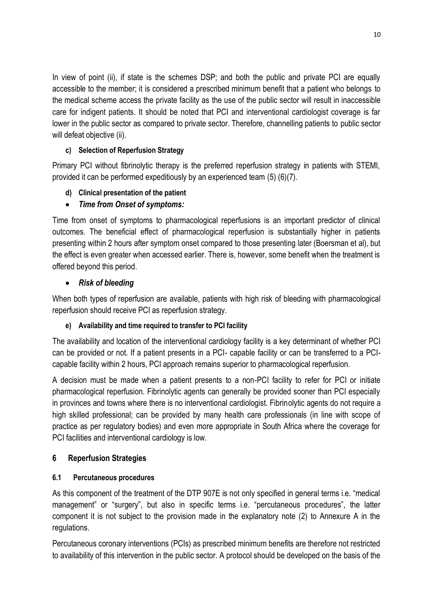In view of point (ii), if state is the schemes DSP; and both the public and private PCI are equally accessible to the member; it is considered a prescribed minimum benefit that a patient who belongs to the medical scheme access the private facility as the use of the public sector will result in inaccessible care for indigent patients. It should be noted that PCI and interventional cardiologist coverage is far lower in the public sector as compared to private sector. Therefore, channelling patients to public sector will defeat objective (ii).

## **c) Selection of Reperfusion Strategy**

Primary PCI without fibrinolytic therapy is the preferred reperfusion strategy in patients with STEMI, provided it can be performed expeditiously by an experienced team (5) (6)(7).

## **d) Clinical presentation of the patient**

## *Time from Onset of symptoms:*

Time from onset of symptoms to pharmacological reperfusions is an important predictor of clinical outcomes. The beneficial effect of pharmacological reperfusion is substantially higher in patients presenting within 2 hours after symptom onset compared to those presenting later (Boersman et al), but the effect is even greater when accessed earlier. There is, however, some benefit when the treatment is offered beyond this period.

## *Risk of bleeding*

When both types of reperfusion are available, patients with high risk of bleeding with pharmacological reperfusion should receive PCI as reperfusion strategy.

## **e) Availability and time required to transfer to PCI facility**

The availability and location of the interventional cardiology facility is a key determinant of whether PCI can be provided or not. If a patient presents in a PCI- capable facility or can be transferred to a PCIcapable facility within 2 hours, PCI approach remains superior to pharmacological reperfusion.

A decision must be made when a patient presents to a non-PCI facility to refer for PCI or initiate pharmacological reperfusion. Fibrinolytic agents can generally be provided sooner than PCI especially in provinces and towns where there is no interventional cardiologist. Fibrinolytic agents do not require a high skilled professional; can be provided by many health care professionals (in line with scope of practice as per regulatory bodies) and even more appropriate in South Africa where the coverage for PCI facilities and interventional cardiology is low.

## <span id="page-9-0"></span>**6 Reperfusion Strategies**

## <span id="page-9-1"></span>**6.1 Percutaneous procedures**

As this component of the treatment of the DTP 907E is not only specified in general terms i.e. "medical management" or "surgery", but also in specific terms i.e. "percutaneous procedures", the latter component it is not subject to the provision made in the explanatory note (2) to Annexure A in the regulations.

Percutaneous coronary interventions (PCIs) as prescribed minimum benefits are therefore not restricted to availability of this intervention in the public sector. A protocol should be developed on the basis of the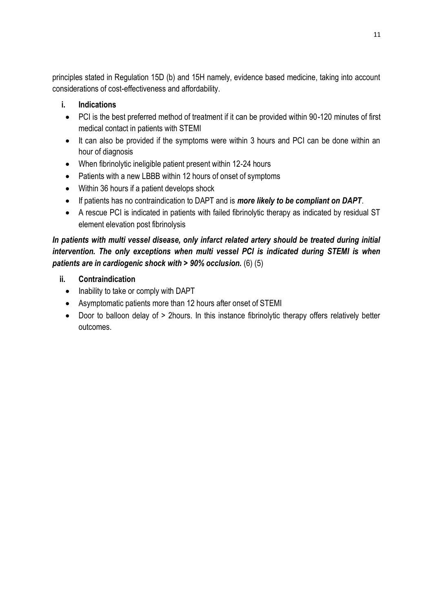principles stated in Regulation 15D (b) and 15H namely, evidence based medicine, taking into account considerations of cost-effectiveness and affordability.

## **i. Indications**

- PCI is the best preferred method of treatment if it can be provided within 90-120 minutes of first medical contact in patients with STEMI
- It can also be provided if the symptoms were within 3 hours and PCI can be done within an hour of diagnosis
- When fibrinolytic ineligible patient present within 12-24 hours
- Patients with a new LBBB within 12 hours of onset of symptoms
- Within 36 hours if a patient develops shock
- If patients has no contraindication to DAPT and is *more likely to be compliant on DAPT*.
- A rescue PCI is indicated in patients with failed fibrinolytic therapy as indicated by residual ST element elevation post fibrinolysis

## *In patients with multi vessel disease, only infarct related artery should be treated during initial intervention. The only exceptions when multi vessel PCI is indicated during STEMI is when patients are in cardiogenic shock with > 90% occlusion.* (6) (5)

- **ii. Contraindication**
	- Inability to take or comply with DAPT
	- Asymptomatic patients more than 12 hours after onset of STEMI
	- Door to balloon delay of > 2hours. In this instance fibrinolytic therapy offers relatively better outcomes.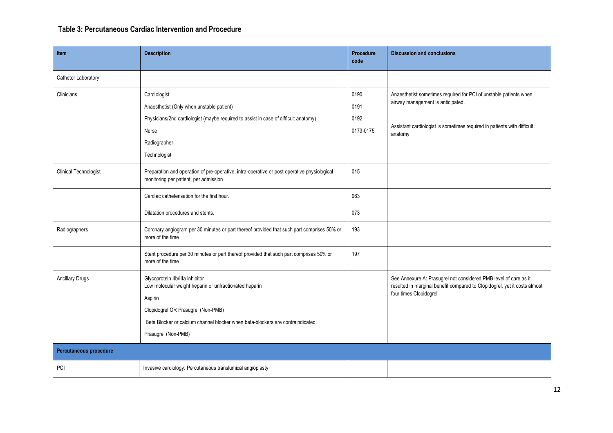## **Table 3: Percutaneous Cardiac Intervention and Procedure**

| <b>Item</b>                  | <b>Description</b>                                                                                                                                                                                                                                   | <b>Procedure</b><br>code          | <b>Discussion and conclusions</b>                                                                                                                                                            |  |
|------------------------------|------------------------------------------------------------------------------------------------------------------------------------------------------------------------------------------------------------------------------------------------------|-----------------------------------|----------------------------------------------------------------------------------------------------------------------------------------------------------------------------------------------|--|
| Catheter Laboratory          |                                                                                                                                                                                                                                                      |                                   |                                                                                                                                                                                              |  |
| Clinicians                   | Cardiologist<br>Anaesthetist (Only when unstable patient)<br>Physicians/2nd cardiologist (maybe required to assist in case of difficult anatomy)<br>Nurse<br>Radiographer<br>Technologist                                                            | 0190<br>0191<br>0192<br>0173-0175 | Anaesthetist sometimes required for PCI of unstable patients when<br>airway management is anticipated.<br>Assistant cardiologist is sometimes required in patients with difficult<br>anatomy |  |
| <b>Clinical Technologist</b> | Preparation and operation of pre-operative, intra-operative or post operative physiological<br>monitoring per patient, per admission                                                                                                                 | 015                               |                                                                                                                                                                                              |  |
|                              | Cardiac catheterisation for the first hour.                                                                                                                                                                                                          | 063                               |                                                                                                                                                                                              |  |
|                              | Dilatation procedures and stents.                                                                                                                                                                                                                    | 073                               |                                                                                                                                                                                              |  |
| Radiographers                | Coronary angiogram per 30 minutes or part thereof provided that such part comprises 50% or<br>more of the time                                                                                                                                       | 193                               |                                                                                                                                                                                              |  |
|                              | Stent procedure per 30 minutes or part thereof provided that such part comprises 50% or<br>more of the time                                                                                                                                          | 197                               |                                                                                                                                                                                              |  |
| <b>Ancillary Drugs</b>       | Glycoprotein Ilb/Illa inhibitor<br>Low molecular weight heparin or unfractionated heparin<br>Aspirin<br>Clopidogrel OR Prasugrel (Non-PMB)<br>Beta Blocker or calcium channel blocker when beta-blockers are contraindicated.<br>Prasugrel (Non-PMB) |                                   | See Annexure A: Prasugrel not considered PMB level of care as it<br>resulted in marginal benefit compared to Clopidogrel, yet it costs almost<br>four times Clopidogrel                      |  |
| Percutaneous procedure       |                                                                                                                                                                                                                                                      |                                   |                                                                                                                                                                                              |  |
| <b>PCI</b>                   | Invasive cardiology: Percutaneous translumical angioplasty                                                                                                                                                                                           |                                   |                                                                                                                                                                                              |  |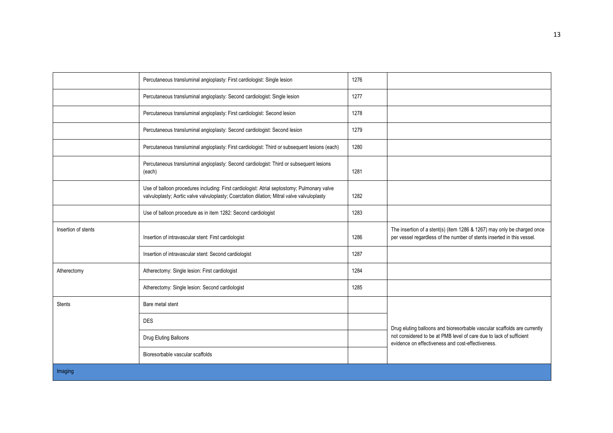|                     | Percutaneous transluminal angioplasty: First cardiologist: Single lesion                                                                                                                   | 1276 |                                                                                                                                                   |
|---------------------|--------------------------------------------------------------------------------------------------------------------------------------------------------------------------------------------|------|---------------------------------------------------------------------------------------------------------------------------------------------------|
|                     | Percutaneous transluminal angioplasty: Second cardiologist: Single lesion                                                                                                                  | 1277 |                                                                                                                                                   |
|                     | Percutaneous transluminal angioplasty: First cardiologist: Second lesion                                                                                                                   | 1278 |                                                                                                                                                   |
|                     | Percutaneous transluminal angioplasty: Second cardiologist: Second lesion                                                                                                                  | 1279 |                                                                                                                                                   |
|                     | Percutaneous transluminal angioplasty: First cardiologist: Third or subsequent lesions (each)                                                                                              | 1280 |                                                                                                                                                   |
|                     | Percutaneous transluminal angioplasty: Second cardiologist: Third or subsequent lesions<br>(each)                                                                                          | 1281 |                                                                                                                                                   |
|                     | Use of balloon procedures including: First cardiologist: Atrial septostomy; Pulmonary valve<br>valvuloplasty; Aortic valve valvuloplasty; Coarctation dilation; Mitral valve valvuloplasty | 1282 |                                                                                                                                                   |
|                     | Use of balloon procedure as in item 1282: Second cardiologist                                                                                                                              | 1283 |                                                                                                                                                   |
| Insertion of stents | Insertion of intravascular stent: First cardiologist                                                                                                                                       | 1286 | The insertion of a stent(s) (item 1286 & 1267) may only be charged once<br>per vessel regardless of the number of stents inserted in this vessel. |
|                     | Insertion of intravascular stent: Second cardiologist                                                                                                                                      | 1287 |                                                                                                                                                   |
| Atherectomy         | Atherectomy: Single lesion: First cardiologist                                                                                                                                             | 1284 |                                                                                                                                                   |
|                     | Atherectomy: Single lesion: Second cardiologist                                                                                                                                            | 1285 |                                                                                                                                                   |
| <b>Stents</b>       | Bare metal stent                                                                                                                                                                           |      |                                                                                                                                                   |
|                     | <b>DES</b>                                                                                                                                                                                 |      | Drug eluting balloons and bioresorbable vascular scaffolds are currently                                                                          |
|                     | Drug Eluting Balloons                                                                                                                                                                      |      | not considered to be at PMB level of care due to lack of sufficient<br>evidence on effectiveness and cost-effectiveness.                          |
|                     | Bioresorbable vascular scaffolds                                                                                                                                                           |      |                                                                                                                                                   |
| Imaging             |                                                                                                                                                                                            |      |                                                                                                                                                   |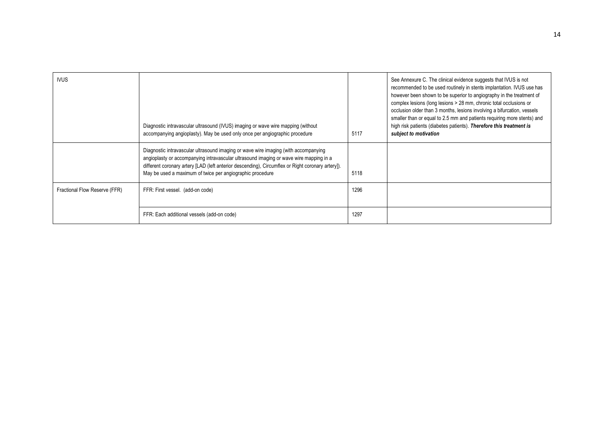| <b>IVUS</b>                   | Diagnostic intravascular ultrasound (IVUS) imaging or wave wire mapping (without<br>accompanying angioplasty). May be used only once per angiographic procedure                                                                                                                                                                                 | 5117 | See Annexure C. The clinical evidence suggests that IVUS is not<br>recommended to be used routinely in stents implantation. IVUS use has<br>however been shown to be superior to angiography in the treatment of<br>complex lesions (long lesions > 28 mm, chronic total occlusions or<br>occlusion older than 3 months, lesions involving a bifurcation, vessels<br>smaller than or equal to 2.5 mm and patients requiring more stents) and<br>high risk patients (diabetes patients). Therefore this treatment is<br>subject to motivation |
|-------------------------------|-------------------------------------------------------------------------------------------------------------------------------------------------------------------------------------------------------------------------------------------------------------------------------------------------------------------------------------------------|------|----------------------------------------------------------------------------------------------------------------------------------------------------------------------------------------------------------------------------------------------------------------------------------------------------------------------------------------------------------------------------------------------------------------------------------------------------------------------------------------------------------------------------------------------|
|                               | Diagnostic intravascular ultrasound imaging or wave wire imaging (with accompanying<br>angioplasty or accompanying intravascular ultrasound imaging or wave wire mapping in a<br>different coronary artery [LAD (left anterior descending), Circumflex or Right coronary artery]).<br>May be used a maximum of twice per angiographic procedure | 5118 |                                                                                                                                                                                                                                                                                                                                                                                                                                                                                                                                              |
| Fractional Flow Reserve (FFR) | FFR: First vessel. (add-on code)                                                                                                                                                                                                                                                                                                                | 1296 |                                                                                                                                                                                                                                                                                                                                                                                                                                                                                                                                              |
|                               | FFR: Each additional vessels (add-on code)                                                                                                                                                                                                                                                                                                      | 1297 |                                                                                                                                                                                                                                                                                                                                                                                                                                                                                                                                              |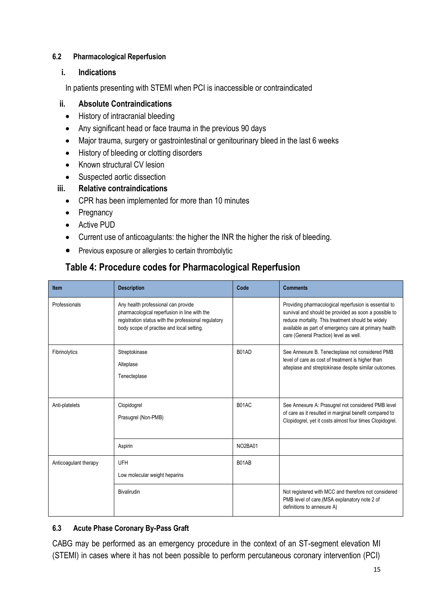## <span id="page-14-0"></span>**6.2 Pharmacological Reperfusion**

## **i. Indications**

In patients presenting with STEMI when PCI is inaccessible or contraindicated

## **ii. Absolute Contraindications**

- History of intracranial bleeding
- Any significant head or face trauma in the previous 90 days
- Major trauma, surgery or gastrointestinal or genitourinary bleed in the last 6 weeks
- $\bullet$  History of bleeding or clotting disorders
- Known structural CV lesion
- Suspected aortic dissection

## **iii. Relative contraindications**

- CPR has been implemented for more than 10 minutes
- Pregnancy
- Active PUD
- Current use of anticoagulants: the higher the INR the higher the risk of bleeding.
- **•** Previous exposure or allergies to certain thrombolytic

## **Table 4: Procedure codes for Pharmacological Reperfusion**

| <b>Item</b>           | <b>Description</b>                                                                                                                                                                       | Code    | <b>Comments</b>                                                                                                                                                                                                                                                        |
|-----------------------|------------------------------------------------------------------------------------------------------------------------------------------------------------------------------------------|---------|------------------------------------------------------------------------------------------------------------------------------------------------------------------------------------------------------------------------------------------------------------------------|
| Professionals         | Any health professional can provide<br>pharmacological reperfusion in line with the<br>registration status with the professional regulatory<br>body scope of practise and local setting. |         | Providing pharmacological reperfusion is essential to<br>survival and should be provided as soon a possible to<br>reduce mortality. This treatment should be widely<br>available as part of emergency care at primary health<br>care (General Practice) level as well. |
| Fibrinolytics         | Streptokinase<br>Alteplase<br>Tenecteplase                                                                                                                                               | B01AD   | See Annexure B. Tenecteplase not considered PMB<br>level of care as cost of treatment is higher than<br>alteplase and streptokinase despite similar outcomes.                                                                                                          |
| Anti-platelets        | Clopidogrel<br>Prasugrel (Non-PMB)                                                                                                                                                       | B01AC   | See Annexure A: Prasugrel not considered PMB level<br>of care as it resulted in marginal benefit compared to<br>Clopidogrel, yet it costs almost four times Clopidogrel.                                                                                               |
|                       | Aspirin                                                                                                                                                                                  | NO2BA01 |                                                                                                                                                                                                                                                                        |
| Anticoagulant therapy | UFH<br>Low molecular weight heparins                                                                                                                                                     | B01AB   |                                                                                                                                                                                                                                                                        |
|                       | Bivalirudin                                                                                                                                                                              |         | Not registered with MCC and therefore not considered<br>PMB level of care.(MSA explanatory note 2 of<br>definitions to annexure A)                                                                                                                                     |

## <span id="page-14-1"></span>**6.3 Acute Phase Coronary By-Pass Graft**

CABG may be performed as an emergency procedure in the context of an ST-segment elevation MI (STEMI) in cases where it has not been possible to perform percutaneous coronary intervention (PCI)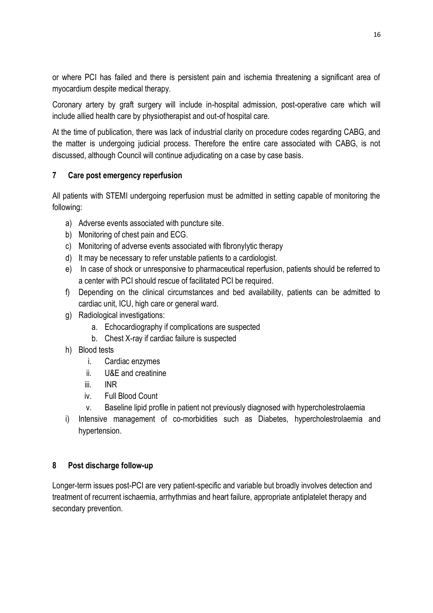or where PCI has failed and there is persistent pain and ischemia threatening a significant area of myocardium despite medical therapy.

Coronary artery by graft surgery will include in-hospital admission, post-operative care which will include allied health care by physiotherapist and out-of hospital care.

At the time of publication, there was lack of industrial clarity on procedure codes regarding CABG, and the matter is undergoing judicial process. Therefore the entire care associated with CABG, is not discussed, although Council will continue adjudicating on a case by case basis.

## <span id="page-15-0"></span>**7 Care post emergency reperfusion**

All patients with STEMI undergoing reperfusion must be admitted in setting capable of monitoring the following:

- a) Adverse events associated with puncture site.
- b) Monitoring of chest pain and ECG.
- c) Monitoring of adverse events associated with fibronylytic therapy
- d) It may be necessary to refer unstable patients to a cardiologist.
- e) In case of shock or unresponsive to pharmaceutical reperfusion, patients should be referred to a center with PCI should rescue of facilitated PCI be required.
- f) Depending on the clinical circumstances and bed availability, patients can be admitted to cardiac unit, ICU, high care or general ward.
- g) Radiological investigations:
	- a. Echocardiography if complications are suspected
	- b. Chest X-ray if cardiac failure is suspected
- h) Blood tests
	- i. Cardiac enzymes
	- ii. U&E and creatinine
	- iii. INR
	- iv. Full Blood Count
	- v. Baseline lipid profile in patient not previously diagnosed with hypercholestrolaemia
- i) Intensive management of co-morbidities such as Diabetes, hypercholestrolaemia and hypertension.

## <span id="page-15-1"></span>**8 Post discharge follow-up**

Longer-term issues post-PCI are very patient-specific and variable but broadly involves detection and treatment of recurrent ischaemia, arrhythmias and heart failure, appropriate antiplatelet therapy and secondary prevention.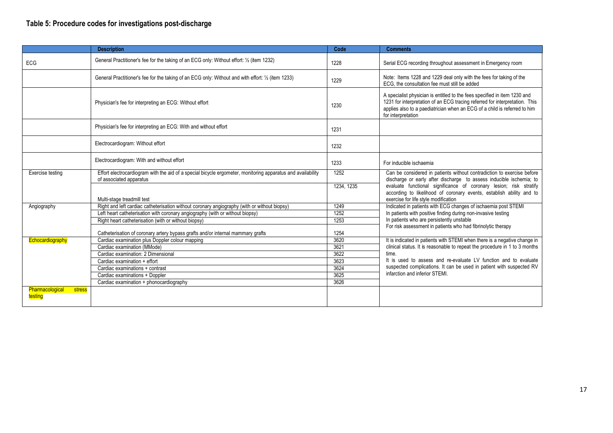## **Table 5: Procedure codes for investigations post-discharge**

|                                             | <b>Description</b>                                                                                                                     | Code       | <b>Comments</b>                                                                                                                                                                                                                                             |
|---------------------------------------------|----------------------------------------------------------------------------------------------------------------------------------------|------------|-------------------------------------------------------------------------------------------------------------------------------------------------------------------------------------------------------------------------------------------------------------|
| <b>ECG</b>                                  | General Practitioner's fee for the taking of an ECG only: Without effort: 1/2 (item 1232)                                              | 1228       | Serial ECG recording throughout assessment in Emergency room                                                                                                                                                                                                |
|                                             | General Practitioner's fee for the taking of an ECG only: Without and with effort: 1/2 (item 1233)                                     | 1229       | Note: Items 1228 and 1229 deal only with the fees for taking of the<br>ECG, the consultation fee must still be added                                                                                                                                        |
|                                             | Physician's fee for interpreting an ECG: Without effort                                                                                | 1230       | A specialist physician is entitled to the fees specified in item 1230 and<br>1231 for interpretation of an ECG tracing referred for interpretation. This<br>applies also to a paediatrician when an ECG of a child is referred to him<br>for interpretation |
|                                             | Physician's fee for interpreting an ECG: With and without effort                                                                       | 1231       |                                                                                                                                                                                                                                                             |
|                                             | Electrocardiogram: Without effort                                                                                                      | 1232       |                                                                                                                                                                                                                                                             |
|                                             | Electrocardiogram: With and without effort                                                                                             | 1233       | For inducible ischaemia                                                                                                                                                                                                                                     |
| Exercise testing                            | Effort electrocardiogram with the aid of a special bicycle ergometer, monitoring apparatus and availability<br>of associated apparatus | 1252       | Can be considered in patients without contradiction to exercise before<br>discharge or early after discharge to assess inducible ischemia; to                                                                                                               |
|                                             | Multi-stage treadmill test                                                                                                             | 1234, 1235 | evaluate functional significance of coronary lesion; risk stratify<br>according to likelihood of coronary events, establish ability and to<br>exercise for life style modification                                                                          |
| Angiography                                 | Right and left cardiac catheterisation without coronary angiography (with or without biopsy)                                           | 1249       | Indicated in patients with ECG changes of ischaemia post STEMI                                                                                                                                                                                              |
|                                             | Left heart catheterisation with coronary angiography (with or without biopsy)                                                          | 1252       | In patients with positive finding during non-invasive testing                                                                                                                                                                                               |
|                                             | Right heart catheterisation (with or without biopsy)                                                                                   | 1253       | In patients who are persistently unstable                                                                                                                                                                                                                   |
|                                             | Catheterisation of coronary artery bypass grafts and/or internal mammary grafts                                                        | 1254       | For risk assessment in patients who had fibrinolytic therapy                                                                                                                                                                                                |
| Echocardiography                            | Cardiac examination plus Doppler colour mapping                                                                                        | 3620       | It is indicated in patients with STEMI when there is a negative change in                                                                                                                                                                                   |
|                                             | Cardiac examination (MMode)                                                                                                            | 3621       | clinical status. It is reasonable to repeat the procedure in 1 to 3 months                                                                                                                                                                                  |
|                                             | Cardiac examination: 2 Dimensional                                                                                                     | 3622       | time.                                                                                                                                                                                                                                                       |
|                                             | Cardiac examination + effort                                                                                                           | 3623       | It is used to assess and re-evaluate LV function and to evaluate                                                                                                                                                                                            |
|                                             | Cardiac examinations + contrast                                                                                                        | 3624       | suspected complications. It can be used in patient with suspected RV                                                                                                                                                                                        |
|                                             | Cardiac examinations + Doppler                                                                                                         | 3625       | infarction and inferior STEMI.                                                                                                                                                                                                                              |
|                                             | Cardiac examination + phonocardiography                                                                                                | 3626       |                                                                                                                                                                                                                                                             |
| Pharmacological<br><b>stress</b><br>testing |                                                                                                                                        |            |                                                                                                                                                                                                                                                             |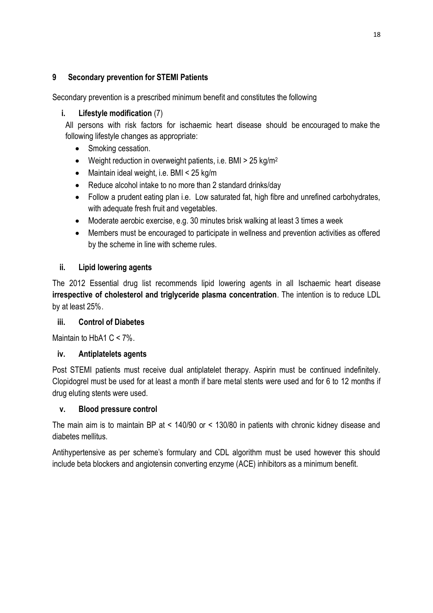## <span id="page-17-0"></span>**9 Secondary prevention for STEMI Patients**

Secondary prevention is a prescribed minimum benefit and constitutes the following

## **i. Lifestyle modification** (7)

All persons with risk factors for ischaemic heart disease should be encouraged to make the following lifestyle changes as appropriate:

- Smoking cessation.
- $\bullet$  Weight reduction in overweight patients, i.e. BMI > 25 kg/m<sup>2</sup>
- Maintain ideal weight, i.e. BMI < 25 kg/m
- Reduce alcohol intake to no more than 2 standard drinks/day
- Follow a prudent eating plan i.e. Low saturated fat, high fibre and unrefined carbohydrates, with adequate fresh fruit and vegetables.
- Moderate aerobic exercise, e.g. 30 minutes brisk walking at least 3 times a week
- Members must be encouraged to participate in wellness and prevention activities as offered by the scheme in line with scheme rules.

## **ii. Lipid lowering agents**

The 2012 Essential drug list recommends lipid lowering agents in all Ischaemic heart disease **irrespective of cholesterol and triglyceride plasma concentration**. The intention is to reduce LDL by at least 25%.

## **iii. Control of Diabetes**

Maintain to HbA1 C < 7%.

## **iv. Antiplatelets agents**

Post STEMI patients must receive dual antiplatelet therapy. Aspirin must be continued indefinitely. Clopidogrel must be used for at least a month if bare metal stents were used and for 6 to 12 months if drug eluting stents were used.

## **v. Blood pressure control**

The main aim is to maintain BP at < 140/90 or < 130/80 in patients with chronic kidney disease and diabetes mellitus.

<span id="page-17-1"></span>Antihypertensive as per scheme's formulary and CDL algorithm must be used however this should include beta blockers and angiotensin converting enzyme (ACE) inhibitors as a minimum benefit.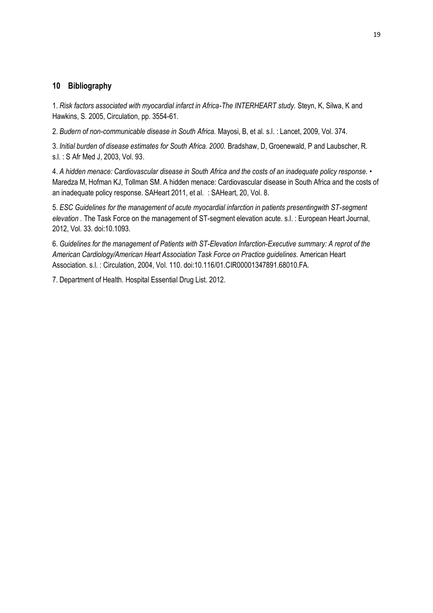#### **10 Bibliography**

1. *Risk factors associated with myocardial infarct in Africa-The INTERHEART study.* Steyn, K, Silwa, K and Hawkins, S. 2005, Circulation, pp. 3554-61.

2. *Budern of non-communicable disease in South Africa.* Mayosi, B, et al. s.l. : Lancet, 2009, Vol. 374.

3. *Initial burden of disease estimates for South Africa. 2000.* Bradshaw, D, Groenewald, P and Laubscher, R. s.l. : S Afr Med J, 2003, Vol. 93.

4. *A hidden menace: Cardiovascular disease in South Africa and the costs of an inadequate policy response.* • Maredza M, Hofman KJ, Tollman SM. A hidden menace: Cardiovascular disease in South Africa and the costs of an inadequate policy response. SAHeart 2011, et al. : SAHeart, 20, Vol. 8.

5. *ESC Guidelines for the management of acute myocardial infarction in patients presentingwith ST-segment elevation .* The Task Force on the management of ST-segment elevation acute. s.l. : European Heart Journal, 2012, Vol. 33. doi:10.1093.

6. *Guidelines for the management of Patients with ST-Elevation Infarction-Executive summary: A reprot of the American Cardiology/American Heart Association Task Force on Practice guidelines.* American Heart Association. s.l. : Circulation, 2004, Vol. 110. doi:10.116/01.CIR00001347891.68010.FA.

7. Department of Health. Hospital Essential Drug List. 2012.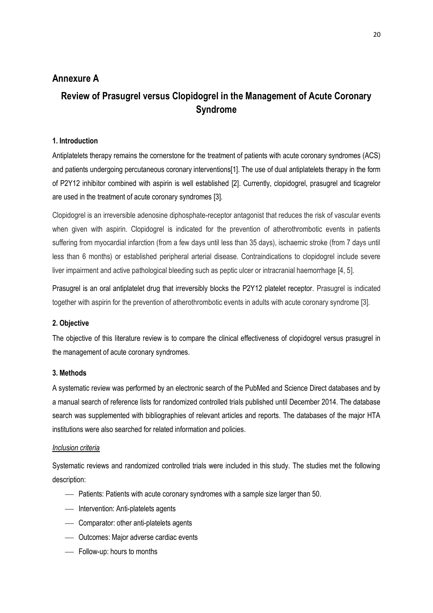## **Annexure A**

## **Review of Prasugrel versus Clopidogrel in the Management of Acute Coronary Syndrome**

#### **1. Introduction**

Antiplatelets therapy remains the cornerstone for the treatment of patients with acute coronary syndromes (ACS) and patients undergoing percutaneous coronary interventions[\[1\]](#page-39-0). The use of dual antiplatelets therapy in the form of P2Y12 inhibitor combined with aspirin is well established [\[2\]](#page-39-1). Currently, clopidogrel, prasugrel and ticagrelor are used in the treatment of acute coronary syndromes [\[3\]](#page-39-2).

Clopidogrel is an irreversible adenosine diphosphate-receptor antagonist that reduces the risk of vascular events when given with aspirin. Clopidogrel is indicated for the prevention of atherothrombotic events in patients suffering from myocardial infarction (from a few days until less than 35 days), ischaemic stroke (from 7 days until less than 6 months) or established peripheral arterial disease. Contraindications to clopidogrel include severe liver impairment and active pathological bleeding such as peptic ulcer or intracranial haemorrhage [\[4,](#page-39-3) [5\]](#page-39-4).

Prasugrel is an oral antiplatelet drug that irreversibly blocks the P2Y12 platelet receptor. Prasugrel is indicated together with aspirin for the prevention of atherothrombotic events in adults with acute coronary syndrome [\[3\]](#page-39-2).

#### **2. Objective**

The objective of this literature review is to compare the clinical effectiveness of clopidogrel versus prasugrel in the management of acute coronary syndromes.

#### **3. Methods**

A systematic review was performed by an electronic search of the PubMed and Science Direct databases and by a manual search of reference lists for randomized controlled trials published until December 2014. The database search was supplemented with bibliographies of relevant articles and reports. The databases of the major HTA institutions were also searched for related information and policies.

#### *Inclusion criteria*

Systematic reviews and randomized controlled trials were included in this study. The studies met the following description:

- Patients: Patients with acute coronary syndromes with a sample size larger than 50.
- Intervention: Anti-platelets agents
- Comparator: other anti-platelets agents
- Outcomes: Major adverse cardiac events
- Follow-up: hours to months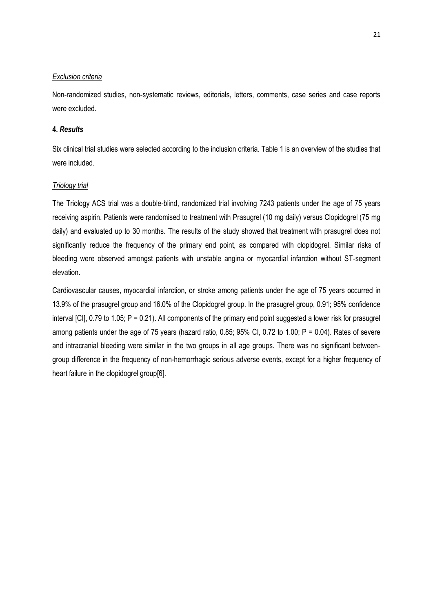#### *Exclusion criteria*

Non-randomized studies, non-systematic reviews, editorials, letters, comments, case series and case reports were excluded.

#### **4.** *Results*

Six clinical trial studies were selected according to the inclusion criteria. Table 1 is an overview of the studies that were included.

#### *Triology trial*

The Triology ACS trial was a double-blind, randomized trial involving 7243 patients under the age of 75 years receiving aspirin. Patients were randomised to treatment with Prasugrel (10 mg daily) versus Clopidogrel (75 mg daily) and evaluated up to 30 months. The results of the study showed that treatment with prasugrel does not significantly reduce the frequency of the primary end point, as compared with clopidogrel. Similar risks of bleeding were observed amongst patients with unstable angina or myocardial infarction without ST-segment elevation.

Cardiovascular causes, myocardial infarction, or stroke among patients under the age of 75 years occurred in 13.9% of the prasugrel group and 16.0% of the Clopidogrel group. In the prasugrel group, 0.91; 95% confidence interval [CI], 0.79 to 1.05; P = 0.21). All components of the primary end point suggested a lower risk for prasugrel among patients under the age of 75 years (hazard ratio, 0.85; 95% CI, 0.72 to 1.00; P = 0.04). Rates of severe and intracranial bleeding were similar in the two groups in all age groups. There was no significant betweengroup difference in the frequency of non-hemorrhagic serious adverse events, except for a higher frequency of heart failure in the clopidogrel group[\[6\].](#page-39-5)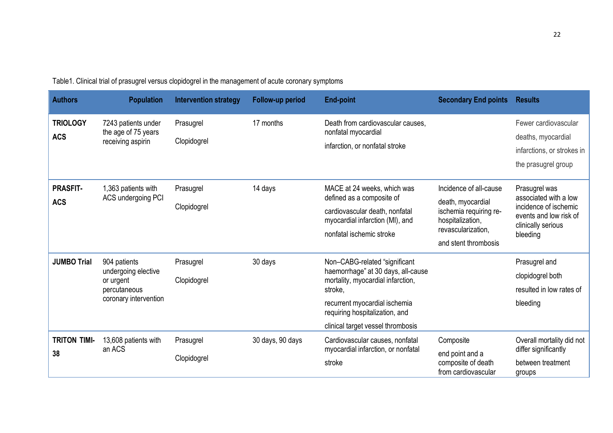| <b>Authors</b>                | <b>Population</b>                                                                         | <b>Intervention strategy</b> | Follow-up period | <b>End-point</b>                                                                                                                                                                                                            | <b>Secondary End points</b>                                                                                                             | <b>Results</b>                                                                                                              |
|-------------------------------|-------------------------------------------------------------------------------------------|------------------------------|------------------|-----------------------------------------------------------------------------------------------------------------------------------------------------------------------------------------------------------------------------|-----------------------------------------------------------------------------------------------------------------------------------------|-----------------------------------------------------------------------------------------------------------------------------|
| <b>TRIOLOGY</b><br><b>ACS</b> | 7243 patients under<br>the age of 75 years<br>receiving aspirin                           | Prasugrel<br>Clopidogrel     | 17 months        | Death from cardiovascular causes,<br>nonfatal myocardial<br>infarction, or nonfatal stroke                                                                                                                                  |                                                                                                                                         | Fewer cardiovascular<br>deaths, myocardial<br>infarctions, or strokes in<br>the prasugrel group                             |
| <b>PRASFIT-</b><br><b>ACS</b> | 1,363 patients with<br>ACS undergoing PCI                                                 | Prasugrel<br>Clopidogrel     | 14 days          | MACE at 24 weeks, which was<br>defined as a composite of<br>cardiovascular death, nonfatal<br>myocardial infarction (MI), and<br>nonfatal ischemic stroke                                                                   | Incidence of all-cause<br>death, myocardial<br>ischemia requiring re-<br>hospitalization,<br>revascularization,<br>and stent thrombosis | Prasugrel was<br>associated with a low<br>incidence of ischemic<br>events and low risk of<br>clinically serious<br>bleeding |
| <b>JUMBO Trial</b>            | 904 patients<br>undergoing elective<br>or urgent<br>percutaneous<br>coronary intervention | Prasugrel<br>Clopidogrel     | 30 days          | Non-CABG-related "significant<br>haemorrhage" at 30 days, all-cause<br>mortality, myocardial infarction,<br>stroke,<br>recurrent myocardial ischemia<br>requiring hospitalization, and<br>clinical target vessel thrombosis |                                                                                                                                         | Prasugrel and<br>clopidogrel both<br>resulted in low rates of<br>bleeding                                                   |
| <b>TRITON TIMI-</b><br>38     | 13,608 patients with<br>an ACS                                                            | Prasugrel<br>Clopidogrel     | 30 days, 90 days | Cardiovascular causes, nonfatal<br>myocardial infarction, or nonfatal<br>stroke                                                                                                                                             | Composite<br>end point and a<br>composite of death<br>from cardiovascular                                                               | Overall mortality did not<br>differ significantly<br>between treatment<br>groups                                            |

Table1. Clinical trial of prasugrel versus clopidogrel in the management of acute coronary symptoms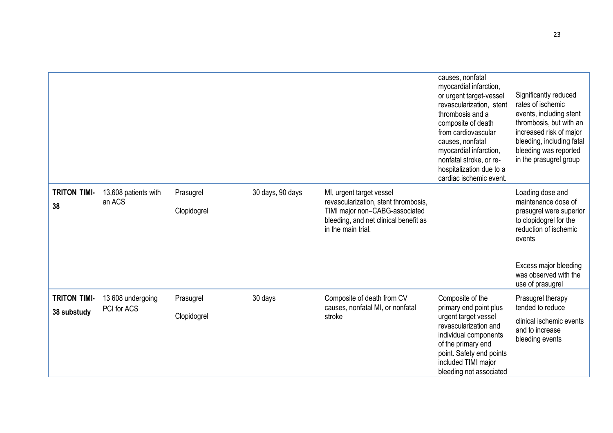|                                    |                                  |                          |                  |                                                                                                                                                                   | causes, nonfatal<br>myocardial infarction,<br>or urgent target-vessel<br>revascularization, stent<br>thrombosis and a<br>composite of death<br>from cardiovascular<br>causes, nonfatal<br>myocardial infarction,<br>nonfatal stroke, or re-<br>hospitalization due to a<br>cardiac ischemic event. | Significantly reduced<br>rates of ischemic<br>events, including stent<br>thrombosis, but with an<br>increased risk of major<br>bleeding, including fatal<br>bleeding was reported<br>in the prasugrel group |
|------------------------------------|----------------------------------|--------------------------|------------------|-------------------------------------------------------------------------------------------------------------------------------------------------------------------|----------------------------------------------------------------------------------------------------------------------------------------------------------------------------------------------------------------------------------------------------------------------------------------------------|-------------------------------------------------------------------------------------------------------------------------------------------------------------------------------------------------------------|
| <b>TRITON TIMI-</b><br>38          | 13,608 patients with<br>an ACS   | Prasugrel<br>Clopidogrel | 30 days, 90 days | MI, urgent target vessel<br>revascularization, stent thrombosis,<br>TIMI major non-CABG-associated<br>bleeding, and net clinical benefit as<br>in the main trial. |                                                                                                                                                                                                                                                                                                    | Loading dose and<br>maintenance dose of<br>prasugrel were superior<br>to clopidogrel for the<br>reduction of ischemic<br>events<br>Excess major bleeding<br>was observed with the<br>use of prasugrel       |
| <b>TRITON TIMI-</b><br>38 substudy | 13 608 undergoing<br>PCI for ACS | Prasugrel<br>Clopidogrel | 30 days          | Composite of death from CV<br>causes, nonfatal MI, or nonfatal<br>stroke                                                                                          | Composite of the<br>primary end point plus<br>urgent target vessel<br>revascularization and<br>individual components<br>of the primary end<br>point. Safety end points<br>included TIMI major<br>bleeding not associated                                                                           | Prasugrel therapy<br>tended to reduce<br>clinical ischemic events<br>and to increase<br>bleeding events                                                                                                     |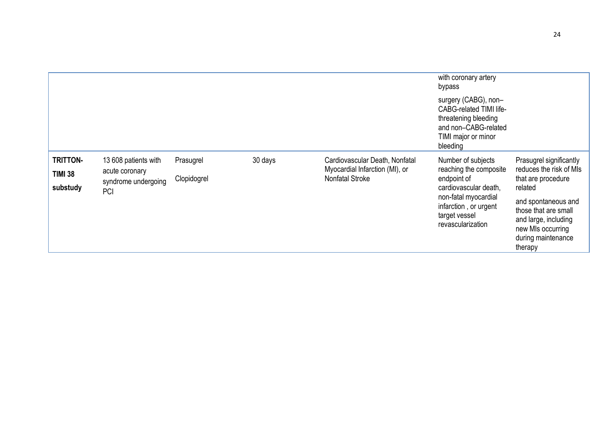|                                               |                                                                      |                          |         |                                                                                            | with coronary artery<br>bypass<br>surgery (CABG), non-<br><b>CABG-related TIMI life-</b><br>threatening bleeding<br>and non-CABG-related<br>TIMI major or minor<br>bleeding |                                                                                                                                                                                                                  |
|-----------------------------------------------|----------------------------------------------------------------------|--------------------------|---------|--------------------------------------------------------------------------------------------|-----------------------------------------------------------------------------------------------------------------------------------------------------------------------------|------------------------------------------------------------------------------------------------------------------------------------------------------------------------------------------------------------------|
| <b>TRITTON-</b><br><b>TIMI 38</b><br>substudy | 13 608 patients with<br>acute coronary<br>syndrome undergoing<br>PCI | Prasugrel<br>Clopidogrel | 30 days | Cardiovascular Death, Nonfatal<br>Myocardial Infarction (MI), or<br><b>Nonfatal Stroke</b> | Number of subjects<br>reaching the composite<br>endpoint of<br>cardiovascular death,<br>non-fatal myocardial<br>infarction, or urgent<br>target vessel<br>revascularization | Prasugrel significantly<br>reduces the risk of MIs<br>that are procedure<br>related<br>and spontaneous and<br>those that are small<br>and large, including<br>new MIs occurring<br>during maintenance<br>therapy |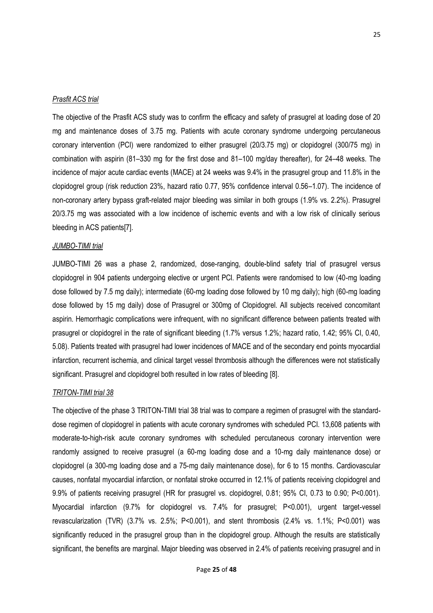#### *Prasfit ACS trial*

The objective of the Prasfit ACS study was to confirm the efficacy and safety of prasugrel at loading dose of 20 mg and maintenance doses of 3.75 mg. Patients with acute coronary syndrome undergoing percutaneous coronary intervention (PCI) were randomized to either prasugrel (20/3.75 mg) or clopidogrel (300/75 mg) in combination with aspirin (81–330 mg for the first dose and 81–100 mg/day thereafter), for 24–48 weeks. The incidence of major acute cardiac events (MACE) at 24 weeks was 9.4% in the prasugrel group and 11.8% in the clopidogrel group (risk reduction 23%, hazard ratio 0.77, 95% confidence interval 0.56–1.07). The incidence of non-coronary artery bypass graft-related major bleeding was similar in both groups (1.9% vs. 2.2%). Prasugrel 20/3.75 mg was associated with a low incidence of ischemic events and with a low risk of clinically serious bleeding in ACS patients[\[7\].](#page-39-6)

#### *JUMBO-TIMI trial*

JUMBO-TIMI 26 was a phase 2, randomized, dose-ranging, double-blind safety trial of prasugrel versus clopidogrel in 904 patients undergoing elective or urgent PCI. Patients were randomised to low (40-mg loading dose followed by 7.5 mg daily); intermediate (60-mg loading dose followed by 10 mg daily); high (60-mg loading dose followed by 15 mg daily) dose of Prasugrel or 300mg of Clopidogrel. All subjects received concomitant aspirin. Hemorrhagic complications were infrequent, with no significant difference between patients treated with prasugrel or clopidogrel in the rate of significant bleeding (1.7% versus 1.2%; hazard ratio, 1.42; 95% CI, 0.40, 5.08). Patients treated with prasugrel had lower incidences of MACE and of the secondary end points myocardial infarction, recurrent ischemia, and clinical target vessel thrombosis although the differences were not statistically significant. Prasugrel and clopidogrel both resulted in low rates of bleeding [\[8\]](#page-39-7).

#### *TRITON-TIMI trial 38*

The objective of the phase 3 TRITON-TIMI trial 38 trial was to compare a regimen of prasugrel with the standarddose regimen of clopidogrel in patients with acute coronary syndromes with scheduled PCI. 13,608 patients with moderate-to-high-risk acute coronary syndromes with scheduled percutaneous coronary intervention were randomly assigned to receive prasugrel (a 60-mg loading dose and a 10-mg daily maintenance dose) or clopidogrel (a 300-mg loading dose and a 75-mg daily maintenance dose), for 6 to 15 months. Cardiovascular causes, nonfatal myocardial infarction, or nonfatal stroke occurred in 12.1% of patients receiving clopidogrel and 9.9% of patients receiving prasugrel (HR for prasugrel vs. clopidogrel, 0.81; 95% CI, 0.73 to 0.90; P<0.001). Myocardial infarction (9.7% for clopidogrel vs. 7.4% for prasugrel; P<0.001), urgent target-vessel revascularization (TVR) (3.7% vs. 2.5%; P<0.001), and stent thrombosis (2.4% vs. 1.1%; P<0.001) was significantly reduced in the prasugrel group than in the clopidogrel group. Although the results are statistically significant, the benefits are marginal. Major bleeding was observed in 2.4% of patients receiving prasugrel and in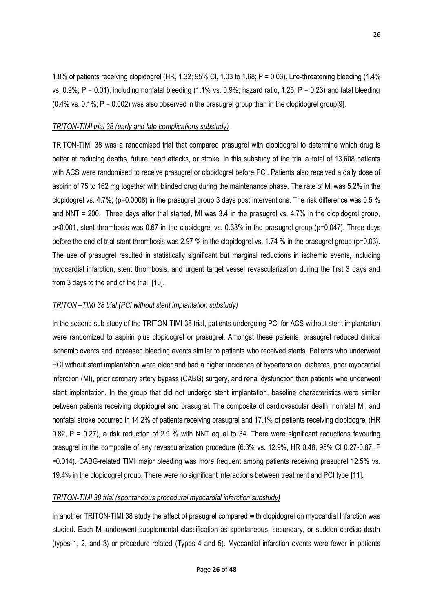1.8% of patients receiving clopidogrel (HR, 1.32; 95% CI, 1.03 to 1.68; P = 0.03). Life-threatening bleeding (1.4% vs. 0.9%; P = 0.01), including nonfatal bleeding (1.1% vs. 0.9%; hazard ratio, 1.25; P = 0.23) and fatal bleeding  $(0.4\%$  vs.  $0.1\%$ ; P = 0.002) was also observed in the prasugrel group than in the clopidogrel group[\[9\]](#page-39-8).

#### *TRITON-TIMI trial 38 (early and late complications substudy)*

TRITON-TIMI 38 was a randomised trial that compared prasugrel with clopidogrel to determine which drug is better at reducing deaths, future heart attacks, or stroke. In this substudy of the trial a total of 13,608 patients with ACS were randomised to receive prasugrel or clopidogrel before PCI. Patients also received a daily dose of aspirin of 75 to 162 mg together with blinded drug during the maintenance phase. The rate of MI was 5.2% in the clopidogrel vs. 4.7%; (p=0.0008) in the prasugrel group 3 days post interventions. The risk difference was 0.5 % and NNT = 200. Three days after trial started, MI was 3.4 in the prasugrel vs. 4.7% in the clopidogrel group, p<0.001, stent thrombosis was 0.67 in the clopidogrel vs. 0.33% in the prasugrel group (p=0.047). Three days before the end of trial stent thrombosis was 2.97 % in the clopidogrel vs. 1.74 % in the prasugrel group (p=0.03). The use of prasugrel resulted in statistically significant but marginal reductions in ischemic events, including myocardial infarction, stent thrombosis, and urgent target vessel revascularization during the first 3 days and from 3 days to the end of the trial. [\[10\]](#page-39-9).

#### *TRITON –TIMI 38 trial (PCI without stent implantation substudy)*

In the second sub study of the TRITON-TIMI 38 trial, patients undergoing PCI for ACS without stent implantation were randomized to aspirin plus clopidogrel or prasugrel. Amongst these patients, prasugrel reduced clinical ischemic events and increased bleeding events similar to patients who received stents. Patients who underwent PCI without stent implantation were older and had a higher incidence of hypertension, diabetes, prior myocardial infarction (MI), prior coronary artery bypass (CABG) surgery, and renal dysfunction than patients who underwent stent implantation. In the group that did not undergo stent implantation, baseline characteristics were similar between patients receiving clopidogrel and prasugrel. The composite of cardiovascular death, nonfatal MI, and nonfatal stroke occurred in 14.2% of patients receiving prasugrel and 17.1% of patients receiving clopidogrel (HR 0.82, P = 0.27), a risk reduction of 2.9 % with NNT equal to 34. There were significant reductions favouring prasugrel in the composite of any revascularization procedure (6.3% vs. 12.9%, HR 0.48, 95% CI 0.27-0.87, P =0.014). CABG-related TIMI major bleeding was more frequent among patients receiving prasugrel 12.5% vs. 19.4% in the clopidogrel group. There were no significant interactions between treatment and PCI type [\[11\]](#page-39-10).

#### *TRITON-TIMI 38 trial (spontaneous procedural myocardial infarction substudy)*

In another TRITON-TIMI 38 study the effect of prasugrel compared with clopidogrel on myocardial Infarction was studied. Each MI underwent supplemental classification as spontaneous, secondary, or sudden cardiac death (types 1, 2, and 3) or procedure related (Types 4 and 5). Myocardial infarction events were fewer in patients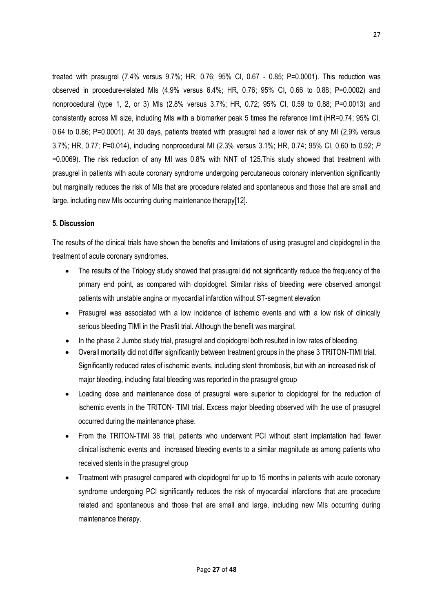treated with prasugrel (7.4% versus 9.7%; HR, 0.76; 95% CI, 0.67 - 0.85; P=0.0001). This reduction was observed in procedure-related MIs (4.9% versus 6.4%; HR, 0.76; 95% CI, 0.66 to 0.88; P=0.0002) and nonprocedural (type 1, 2, or 3) MIs (2.8% versus 3.7%; HR, 0.72; 95% CI, 0.59 to 0.88; P=0.0013) and consistently across MI size, including MIs with a biomarker peak 5 times the reference limit (HR=0.74; 95% CI, 0.64 to 0.86; P=0.0001). At 30 days, patients treated with prasugrel had a lower risk of any MI (2.9% versus 3.7%; HR, 0.77; P=0.014), including nonprocedural MI (2.3% versus 3.1%; HR, 0.74; 95% CI, 0.60 to 0.92; *P* =0.0069). The risk reduction of any MI was 0.8% with NNT of 125.This study showed that treatment with prasugrel in patients with acute coronary syndrome undergoing percutaneous coronary intervention significantly but marginally reduces the risk of MIs that are procedure related and spontaneous and those that are small and large, including new MIs occurring during maintenance therapy[\[12\].](#page-28-0)

#### **5. Discussion**

The results of the clinical trials have shown the benefits and limitations of using prasugrel and clopidogrel in the treatment of acute coronary syndromes.

- The results of the Triology study showed that prasugrel did not significantly reduce the frequency of the primary end point, as compared with clopidogrel. Similar risks of bleeding were observed amongst patients with unstable angina or myocardial infarction without ST-segment elevation
- Prasugrel was associated with a low incidence of ischemic events and with a low risk of clinically serious bleeding TIMI in the Prasfit trial. Although the benefit was marginal.
- In the phase 2 Jumbo study trial, prasugrel and clopidogrel both resulted in low rates of bleeding.
- Overall mortality did not differ significantly between treatment groups in the phase 3 TRITON-TIMI trial. Significantly reduced rates of ischemic events, including stent thrombosis, but with an increased risk of major bleeding, including fatal bleeding was reported in the prasugrel group
- Loading dose and maintenance dose of prasugrel were superior to clopidogrel for the reduction of ischemic events in the TRITON- TIMI trial. Excess major bleeding observed with the use of prasugrel occurred during the maintenance phase.
- From the TRITON-TIMI 38 trial, patients who underwent PCI without stent implantation had fewer clinical ischemic events and increased bleeding events to a similar magnitude as among patients who received stents in the prasugrel group
- Treatment with prasugrel compared with clopidogrel for up to 15 months in patients with acute coronary syndrome undergoing PCI significantly reduces the risk of myocardial infarctions that are procedure related and spontaneous and those that are small and large, including new MIs occurring during maintenance therapy.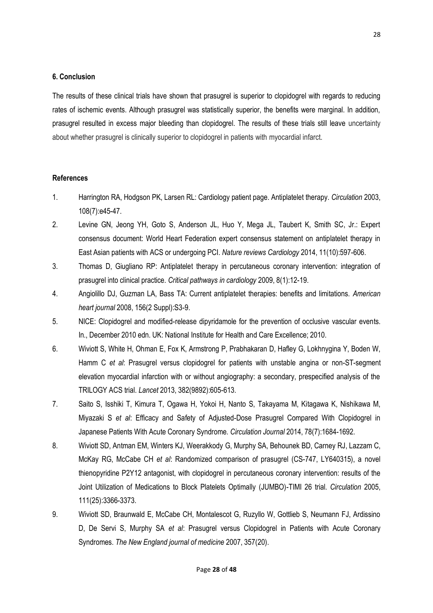#### **6. Conclusion**

The results of these clinical trials have shown that prasugrel is superior to clopidogrel with regards to reducing rates of ischemic events. Although prasugrel was statistically superior, the benefits were marginal. In addition, prasugrel resulted in excess major bleeding than clopidogrel. The results of these trials still leave uncertainty about whether prasugrel is clinically superior to clopidogrel in patients with myocardial infarct.

#### **References**

- 1. Harrington RA, Hodgson PK, Larsen RL: Cardiology patient page. Antiplatelet therapy. *Circulation* 2003, 108(7):e45-47.
- 2. Levine GN, Jeong YH, Goto S, Anderson JL, Huo Y, Mega JL, Taubert K, Smith SC, Jr.: Expert consensus document: World Heart Federation expert consensus statement on antiplatelet therapy in East Asian patients with ACS or undergoing PCI. *Nature reviews Cardiology* 2014, 11(10):597-606.
- 3. Thomas D, Giugliano RP: Antiplatelet therapy in percutaneous coronary intervention: integration of prasugrel into clinical practice. *Critical pathways in cardiology* 2009, 8(1):12-19.
- 4. Angiolillo DJ, Guzman LA, Bass TA: Current antiplatelet therapies: benefits and limitations. *American heart journal* 2008, 156(2 Suppl):S3-9.
- 5. NICE: Clopidogrel and modified-release dipyridamole for the prevention of occlusive vascular events. In*.*, December 2010 edn. UK: National Institute for Health and Care Excellence; 2010.
- 6. Wiviott S, White H, Ohman E, Fox K, Armstrong P, Prabhakaran D, Hafley G, Lokhnygina Y, Boden W, Hamm C *et al*: Prasugrel versus clopidogrel for patients with unstable angina or non-ST-segment elevation myocardial infarction with or without angiography: a secondary, prespecified analysis of the TRILOGY ACS trial. *Lancet* 2013, 382(9892):605-613.
- 7. Saito S, Isshiki T, Kimura T, Ogawa H, Yokoi H, Nanto S, Takayama M, Kitagawa K, Nishikawa M, Miyazaki S *et al*: Efficacy and Safety of Adjusted-Dose Prasugrel Compared With Clopidogrel in Japanese Patients With Acute Coronary Syndrome. *Circulation Journal* 2014, 78(7):1684-1692.
- 8. Wiviott SD, Antman EM, Winters KJ, Weerakkody G, Murphy SA, Behounek BD, Carney RJ, Lazzam C, McKay RG, McCabe CH *et al*: Randomized comparison of prasugrel (CS-747, LY640315), a novel thienopyridine P2Y12 antagonist, with clopidogrel in percutaneous coronary intervention: results of the Joint Utilization of Medications to Block Platelets Optimally (JUMBO)-TIMI 26 trial. *Circulation* 2005, 111(25):3366-3373.
- 9. Wiviott SD, Braunwald E, McCabe CH, Montalescot G, Ruzyllo W, Gottlieb S, Neumann FJ, Ardissino D, De Servi S, Murphy SA *et al*: Prasugrel versus Clopidogrel in Patients with Acute Coronary Syndromes. *The New England journal of medicine* 2007, 357(20).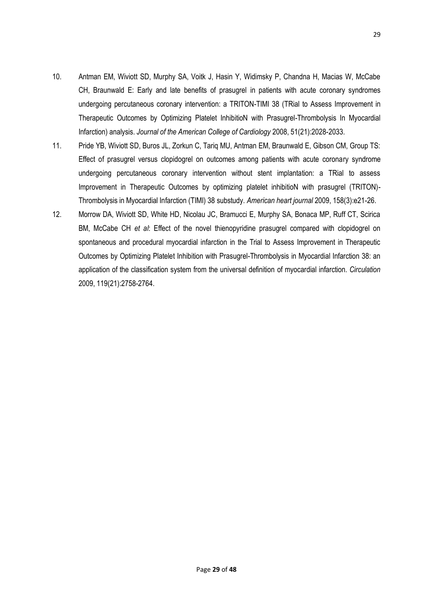- 10. Antman EM, Wiviott SD, Murphy SA, Voitk J, Hasin Y, Widimsky P, Chandna H, Macias W, McCabe CH, Braunwald E: Early and late benefits of prasugrel in patients with acute coronary syndromes undergoing percutaneous coronary intervention: a TRITON-TIMI 38 (TRial to Assess Improvement in Therapeutic Outcomes by Optimizing Platelet InhibitioN with Prasugrel-Thrombolysis In Myocardial Infarction) analysis. *Journal of the American College of Cardiology* 2008, 51(21):2028-2033.
- 11. Pride YB, Wiviott SD, Buros JL, Zorkun C, Tariq MU, Antman EM, Braunwald E, Gibson CM, Group TS: Effect of prasugrel versus clopidogrel on outcomes among patients with acute coronary syndrome undergoing percutaneous coronary intervention without stent implantation: a TRial to assess Improvement in Therapeutic Outcomes by optimizing platelet inhibitioN with prasugrel (TRITON)- Thrombolysis in Myocardial Infarction (TIMI) 38 substudy. *American heart journal* 2009, 158(3):e21-26.
- <span id="page-28-0"></span>12. Morrow DA, Wiviott SD, White HD, Nicolau JC, Bramucci E, Murphy SA, Bonaca MP, Ruff CT, Scirica BM, McCabe CH *et al*: Effect of the novel thienopyridine prasugrel compared with clopidogrel on spontaneous and procedural myocardial infarction in the Trial to Assess Improvement in Therapeutic Outcomes by Optimizing Platelet Inhibition with Prasugrel-Thrombolysis in Myocardial Infarction 38: an application of the classification system from the universal definition of myocardial infarction. *Circulation*  2009, 119(21):2758-2764.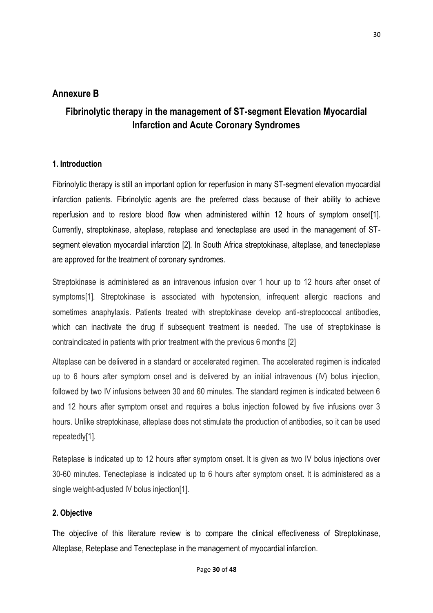## **Annexure B**

## **Fibrinolytic therapy in the management of ST-segment Elevation Myocardial Infarction and Acute Coronary Syndromes**

### **1. Introduction**

Fibrinolytic therapy is still an important option for reperfusion in many ST-segment elevation myocardial infarction patients. Fibrinolytic agents are the preferred class because of their ability to achieve reperfusion and to restore blood flow when administered within 12 hours of symptom onset[\[1\]](#page-39-0). Currently, streptokinase, alteplase, reteplase and tenecteplase are used in the management of STsegment elevation myocardial infarction [\[2\]](#page-39-1). In South Africa streptokinase, alteplase, and tenecteplase are approved for the treatment of coronary syndromes.

Streptokinase is administered as an intravenous infusion over 1 hour up to 12 hours after onset of symptoms[\[1\]](#page-39-0). Streptokinase is associated with hypotension, infrequent allergic reactions and sometimes anaphylaxis. Patients treated with streptokinase develop anti-streptococcal antibodies, which can inactivate the drug if subsequent treatment is needed. The use of streptokinase is contraindicated in patients with prior treatment with the previous 6 months [\[2\]](#page-39-1)

Alteplase can be delivered in a standard or accelerated regimen. The accelerated regimen is indicated up to 6 hours after symptom onset and is delivered by an initial intravenous (IV) bolus injection, followed by two IV infusions between 30 and 60 minutes. The standard regimen is indicated between 6 and 12 hours after symptom onset and requires a bolus injection followed by five infusions over 3 hours. Unlike streptokinase, alteplase does not stimulate the production of antibodies, so it can be used repeatedly[\[1\]](#page-39-0).

Reteplase is indicated up to 12 hours after symptom onset. It is given as two IV bolus injections over 30-60 minutes. Tenecteplase is indicated up to 6 hours after symptom onset. It is administered as a single weight-adjusted IV bolus injection[\[1\]](#page-39-0).

## **2. Objective**

The objective of this literature review is to compare the clinical effectiveness of Streptokinase, Alteplase, Reteplase and Tenecteplase in the management of myocardial infarction.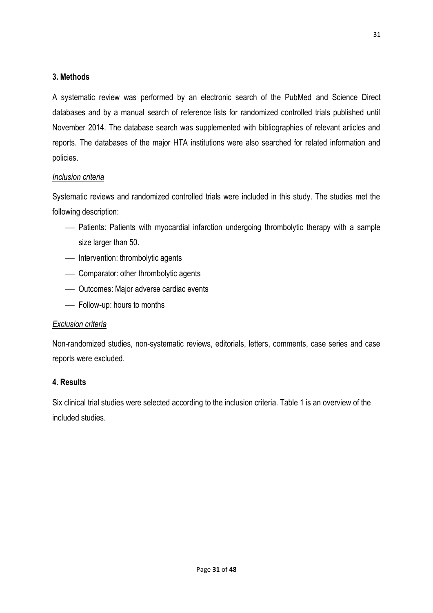## **3. Methods**

A systematic review was performed by an electronic search of the PubMed and Science Direct databases and by a manual search of reference lists for randomized controlled trials published until November 2014. The database search was supplemented with bibliographies of relevant articles and reports. The databases of the major HTA institutions were also searched for related information and policies.

## *Inclusion criteria*

Systematic reviews and randomized controlled trials were included in this study. The studies met the following description:

- Patients: Patients with myocardial infarction undergoing thrombolytic therapy with a sample size larger than 50.
- Intervention: thrombolytic agents
- Comparator: other thrombolytic agents
- Outcomes: Major adverse cardiac events
- Follow-up: hours to months

## *Exclusion criteria*

Non-randomized studies, non-systematic reviews, editorials, letters, comments, case series and case reports were excluded.

## **4. Results**

Six clinical trial studies were selected according to the inclusion criteria. Table 1 is an overview of the included studies.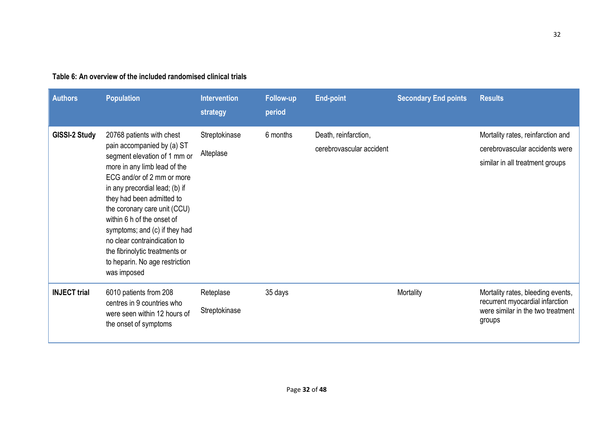| <b>Authors</b>      | <b>Population</b>                                                                                                                                                                                                                                                                                                                                                                                                                      | <b>Intervention</b><br>strategy | <b>Follow-up</b><br>period | <b>End-point</b>                                 | <b>Secondary End points</b> | <b>Results</b>                                                                                                      |
|---------------------|----------------------------------------------------------------------------------------------------------------------------------------------------------------------------------------------------------------------------------------------------------------------------------------------------------------------------------------------------------------------------------------------------------------------------------------|---------------------------------|----------------------------|--------------------------------------------------|-----------------------------|---------------------------------------------------------------------------------------------------------------------|
| GISSI-2 Study       | 20768 patients with chest<br>pain accompanied by (a) ST<br>segment elevation of 1 mm or<br>more in any limb lead of the<br>ECG and/or of 2 mm or more<br>in any precordial lead; (b) if<br>they had been admitted to<br>the coronary care unit (CCU)<br>within 6 h of the onset of<br>symptoms; and (c) if they had<br>no clear contraindication to<br>the fibrinolytic treatments or<br>to heparin. No age restriction<br>was imposed | Streptokinase<br>Alteplase      | 6 months                   | Death, reinfarction,<br>cerebrovascular accident |                             | Mortality rates, reinfarction and<br>cerebrovascular accidents were<br>similar in all treatment groups              |
| <b>INJECT</b> trial | 6010 patients from 208<br>centres in 9 countries who<br>were seen within 12 hours of<br>the onset of symptoms                                                                                                                                                                                                                                                                                                                          | Reteplase<br>Streptokinase      | 35 days                    |                                                  | Mortality                   | Mortality rates, bleeding events,<br>recurrent myocardial infarction<br>were similar in the two treatment<br>groups |

## **Table 6: An overview of the included randomised clinical trials**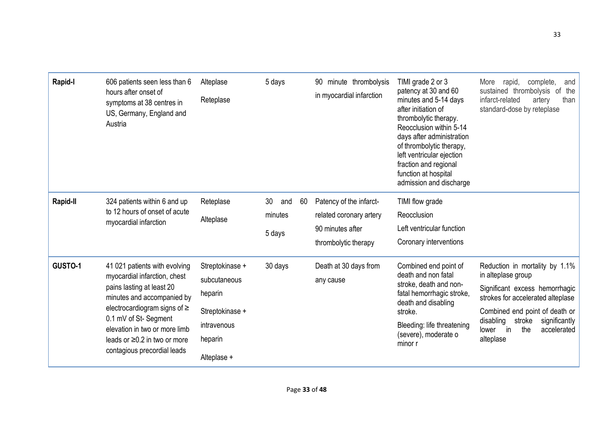| Rapid-I  | 606 patients seen less than 6<br>hours after onset of<br>symptoms at 38 centres in<br>US, Germany, England and<br>Austria                                                                                                                                                                   | Alteplase<br>Reteplase                                                                                 | 5 days                               | 90 minute thrombolysis<br>in myocardial infarction                                             | TIMI grade 2 or 3<br>patency at 30 and 60<br>minutes and 5-14 days<br>after initiation of<br>thrombolytic therapy.<br>Reocclusion within 5-14<br>days after administration<br>of thrombolytic therapy,<br>left ventricular ejection<br>fraction and regional<br>function at hospital<br>admission and discharge | complete,<br>More<br>rapid,<br>and<br>sustained thrombolysis of the<br>infarct-related<br>than<br>artery<br>standard-dose by reteplase                                                                                                                  |
|----------|---------------------------------------------------------------------------------------------------------------------------------------------------------------------------------------------------------------------------------------------------------------------------------------------|--------------------------------------------------------------------------------------------------------|--------------------------------------|------------------------------------------------------------------------------------------------|-----------------------------------------------------------------------------------------------------------------------------------------------------------------------------------------------------------------------------------------------------------------------------------------------------------------|---------------------------------------------------------------------------------------------------------------------------------------------------------------------------------------------------------------------------------------------------------|
| Rapid-II | 324 patients within 6 and up<br>to 12 hours of onset of acute<br>myocardial infarction                                                                                                                                                                                                      | Reteplase<br>Alteplase                                                                                 | 30<br>60<br>and<br>minutes<br>5 days | Patency of the infarct-<br>related coronary artery<br>90 minutes after<br>thrombolytic therapy | TIMI flow grade<br>Reocclusion<br>Left ventricular function<br>Coronary interventions                                                                                                                                                                                                                           |                                                                                                                                                                                                                                                         |
| GUSTO-1  | 41 021 patients with evolving<br>myocardial infarction, chest<br>pains lasting at least 20<br>minutes and accompanied by<br>electrocardiogram signs of $\geq$<br>0.1 mV of St-Segment<br>elevation in two or more limb<br>leads or $\geq$ 0.2 in two or more<br>contagious precordial leads | Streptokinase +<br>subcutaneous<br>heparin<br>Streptokinase +<br>intravenous<br>heparin<br>Alteplase + | 30 days                              | Death at 30 days from<br>any cause                                                             | Combined end point of<br>death and non fatal<br>stroke, death and non-<br>fatal hemorrhagic stroke,<br>death and disabling<br>stroke.<br>Bleeding: life threatening<br>(severe), moderate o<br>minor r                                                                                                          | Reduction in mortality by 1.1%<br>in alteplase group<br>Significant excess hemorrhagic<br>strokes for accelerated alteplase<br>Combined end point of death or<br>disabling<br>stroke<br>significantly<br>the<br>in<br>accelerated<br>lower<br>alteplase |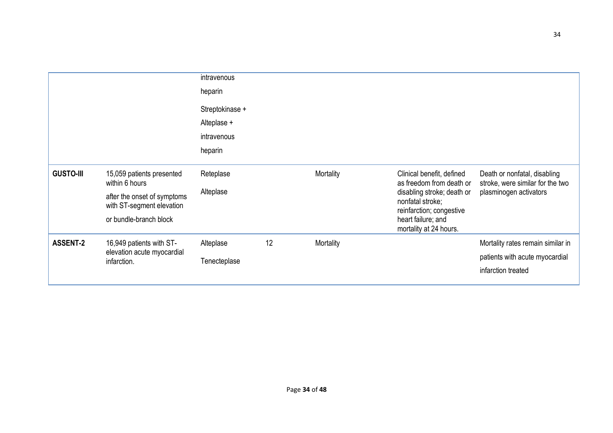|                  |                                                          | intravenous     |    |           |                                                                            |                                                                  |
|------------------|----------------------------------------------------------|-----------------|----|-----------|----------------------------------------------------------------------------|------------------------------------------------------------------|
|                  |                                                          | heparin         |    |           |                                                                            |                                                                  |
|                  |                                                          | Streptokinase + |    |           |                                                                            |                                                                  |
|                  |                                                          | Alteplase +     |    |           |                                                                            |                                                                  |
|                  |                                                          | intravenous     |    |           |                                                                            |                                                                  |
|                  |                                                          | heparin         |    |           |                                                                            |                                                                  |
| <b>GUSTO-III</b> | 15,059 patients presented<br>within 6 hours              | Reteplase       |    | Mortality | Clinical benefit, defined<br>as freedom from death or                      | Death or nonfatal, disabling<br>stroke, were similar for the two |
|                  | after the onset of symptoms<br>with ST-segment elevation | Alteplase       |    |           | disabling stroke; death or<br>nonfatal stroke;<br>reinfarction; congestive | plasminogen activators                                           |
|                  | or bundle-branch block                                   |                 |    |           | heart failure; and<br>mortality at 24 hours.                               |                                                                  |
| <b>ASSENT-2</b>  | 16,949 patients with ST-                                 | Alteplase       | 12 | Mortality |                                                                            | Mortality rates remain similar in                                |
|                  | elevation acute myocardial<br>infarction.                | Tenecteplase    |    |           |                                                                            | patients with acute myocardial                                   |
|                  |                                                          |                 |    |           |                                                                            | infarction treated                                               |
|                  |                                                          |                 |    |           |                                                                            |                                                                  |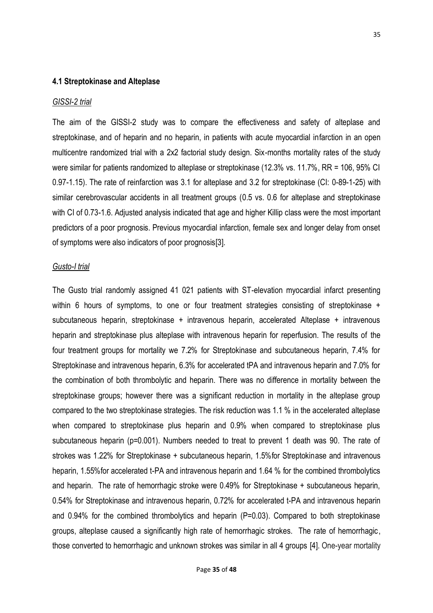#### **4.1 Streptokinase and Alteplase**

#### *GISSI-2 trial*

The aim of the GISSI-2 study was to compare the effectiveness and safety of alteplase and streptokinase, and of heparin and no heparin, in patients with acute myocardial infarction in an open multicentre randomized trial with a 2x2 factorial study design. Six-months mortality rates of the study were similar for patients randomized to alteplase or streptokinase (12.3% vs. 11.7%, RR = 106, 95% CI 0.97-1.15). The rate of reinfarction was 3.1 for alteplase and 3.2 for streptokinase (CI: 0-89-1-25) with similar cerebrovascular accidents in all treatment groups (0.5 vs. 0.6 for alteplase and streptokinase with CI of 0.73-1.6. Adjusted analysis indicated that age and higher Killip class were the most important predictors of a poor prognosis. Previous myocardial infarction, female sex and longer delay from onset of symptoms were also indicators of poor prognosis[\[3\]](#page-39-2).

#### *Gusto-I trial*

The Gusto trial randomly assigned 41 021 patients with ST-elevation myocardial infarct presenting within 6 hours of symptoms, to one or four treatment strategies consisting of streptokinase + subcutaneous heparin, streptokinase + intravenous heparin, accelerated Alteplase + intravenous heparin and streptokinase plus alteplase with intravenous heparin for reperfusion. The results of the four treatment groups for mortality we 7.2% for Streptokinase and subcutaneous heparin, 7.4% for Streptokinase and intravenous heparin, 6.3% for accelerated tPA and intravenous heparin and 7.0% for the combination of both thrombolytic and heparin. There was no difference in mortality between the streptokinase groups; however there was a significant reduction in mortality in the alteplase group compared to the two streptokinase strategies. The risk reduction was 1.1 % in the accelerated alteplase when compared to streptokinase plus heparin and 0.9% when compared to streptokinase plus subcutaneous heparin (p=0.001). Numbers needed to treat to prevent 1 death was 90. The rate of strokes was 1.22% for Streptokinase + subcutaneous heparin, 1.5%for Streptokinase and intravenous heparin, 1.55%for accelerated t-PA and intravenous heparin and 1.64 % for the combined thrombolytics and heparin. The rate of hemorrhagic stroke were 0.49% for Streptokinase + subcutaneous heparin, 0.54% for Streptokinase and intravenous heparin, 0.72% for accelerated t-PA and intravenous heparin and 0.94% for the combined thrombolytics and heparin (P=0.03). Compared to both streptokinase groups, alteplase caused a significantly high rate of hemorrhagic strokes. The rate of hemorrhagic, those converted to hemorrhagic and unknown strokes was similar in all 4 groups [\[4\]](#page-39-3). One-year mortality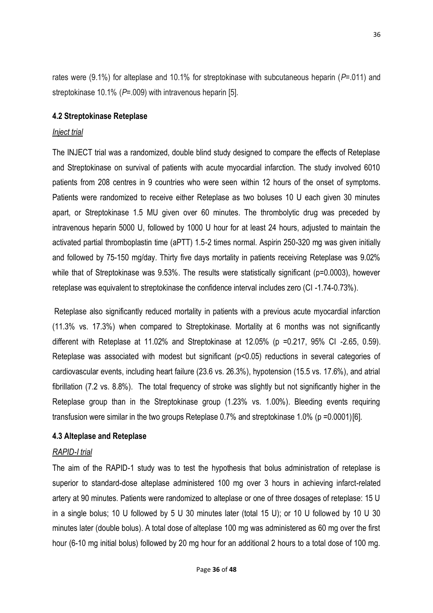rates were (9.1%) for alteplase and 10.1% for streptokinase with subcutaneous heparin (*P*=.011) and streptokinase 10.1% (*P*=.009) with intravenous heparin [\[5\]](#page-39-4).

### **4.2 Streptokinase Reteplase**

#### *Inject trial*

The INJECT trial was a randomized, double blind study designed to compare the effects of Reteplase and Streptokinase on survival of patients with acute myocardial infarction. The study involved 6010 patients from 208 centres in 9 countries who were seen within 12 hours of the onset of symptoms. Patients were randomized to receive either Reteplase as two boluses 10 U each given 30 minutes apart, or Streptokinase 1.5 MU given over 60 minutes. The thrombolytic drug was preceded by intravenous heparin 5000 U, followed by 1000 U hour for at least 24 hours, adjusted to maintain the activated partial thromboplastin time (aPTT) 1.5-2 times normal. Aspirin 250-320 mg was given initially and followed by 75-150 mg/day. Thirty five days mortality in patients receiving Reteplase was 9.02% while that of Streptokinase was 9.53%. The results were statistically significant (p=0.0003), however reteplase was equivalent to streptokinase the confidence interval includes zero (CI -1.74-0.73%).

Reteplase also significantly reduced mortality in patients with a previous acute myocardial infarction (11.3% vs. 17.3%) when compared to Streptokinase. Mortality at 6 months was not significantly different with Reteplase at 11.02% and Streptokinase at 12.05% (p =0.217, 95% CI -2.65, 0.59). Reteplase was associated with modest but significant (p<0.05) reductions in several categories of cardiovascular events, including heart failure (23.6 vs. 26.3%), hypotension (15.5 vs. 17.6%), and atrial fibrillation (7.2 vs. 8.8%). The total frequency of stroke was slightly but not significantly higher in the Reteplase group than in the Streptokinase group (1.23% vs. 1.00%). Bleeding events requiring transfusion were similar in the two groups Reteplase 0.7% and streptokinase 1.0% (p =0.0001)[\[6\]](#page-39-5).

## **4.3 Alteplase and Reteplase**

#### *RAPID-I trial*

The aim of the RAPID-1 study was to test the hypothesis that bolus administration of reteplase is superior to standard-dose alteplase administered 100 mg over 3 hours in achieving infarct-related artery at 90 minutes. Patients were randomized to alteplase or one of three dosages of reteplase: 15 U in a single bolus; 10 U followed by 5 U 30 minutes later (total 15 U); or 10 U followed by 10 U 30 minutes later (double bolus). A total dose of alteplase 100 mg was administered as 60 mg over the first hour (6-10 mg initial bolus) followed by 20 mg hour for an additional 2 hours to a total dose of 100 mg.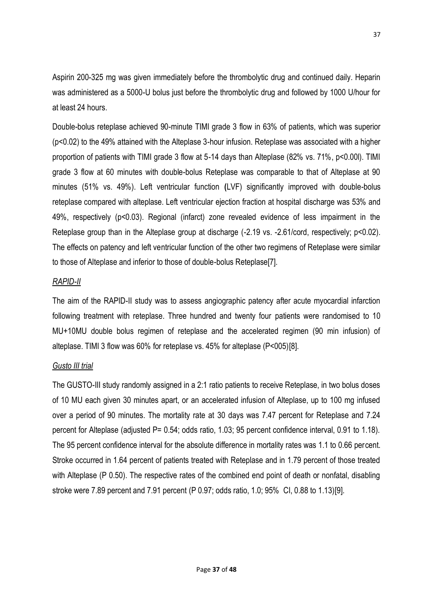Aspirin 200-325 mg was given immediately before the thrombolytic drug and continued daily. Heparin was administered as a 5000-U bolus just before the thrombolytic drug and followed by 1000 U/hour for at least 24 hours.

Double-bolus reteplase achieved 90-minute TIMI grade 3 flow in 63% of patients, which was superior (p<0.02) to the 49% attained with the Alteplase 3-hour infusion. Reteplase was associated with a higher proportion of patients with TIMI grade 3 flow at 5-14 days than Alteplase (82% vs. 71%, p<0.00l). TIMI grade 3 flow at 60 minutes with double-bolus Reteplase was comparable to that of Alteplase at 90 minutes (51% vs. 49%). Left ventricular function **(**LVF) significantly improved with double-bolus reteplase compared with alteplase. Left ventricular ejection fraction at hospital discharge was 53% and 49%, respectively (p<0.03). Regional (infarct) zone revealed evidence of less impairment in the Reteplase group than in the Alteplase group at discharge (-2.19 vs. -2.61/cord, respectively; p<0.02). The effects on patency and left ventricular function of the other two regimens of Reteplase were similar to those of Alteplase and inferior to those of double-bolus Reteplas[e\[7\]](#page-39-6).

## *RAPID-II*

The aim of the RAPID-II study was to assess angiographic patency after acute myocardial infarction following treatment with reteplase. Three hundred and twenty four patients were randomised to 10 MU+10MU double bolus regimen of reteplase and the accelerated regimen (90 min infusion) of alteplase. TIMI 3 flow was 60% for reteplase vs. 45% for alteplase (P<005)[\[8\]](#page-39-7).

## *Gusto III trial*

The GUSTO-III study randomly assigned in a 2:1 ratio patients to receive Reteplase, in two bolus doses of 10 MU each given 30 minutes apart, or an accelerated infusion of Alteplase, up to 100 mg infused over a period of 90 minutes. The mortality rate at 30 days was 7.47 percent for Reteplase and 7.24 percent for Alteplase (adjusted P= 0.54; odds ratio, 1.03; 95 percent confidence interval, 0.91 to 1.18). The 95 percent confidence interval for the absolute difference in mortality rates was 1.1 to 0.66 percent. Stroke occurred in 1.64 percent of patients treated with Reteplase and in 1.79 percent of those treated with Alteplase (P 0.50). The respective rates of the combined end point of death or nonfatal, disabling stroke were 7.89 percent and 7.91 percent (P 0.97; odds ratio, 1.0; 95% CI, 0.88 to 1.13)[\[9\]](#page-39-8).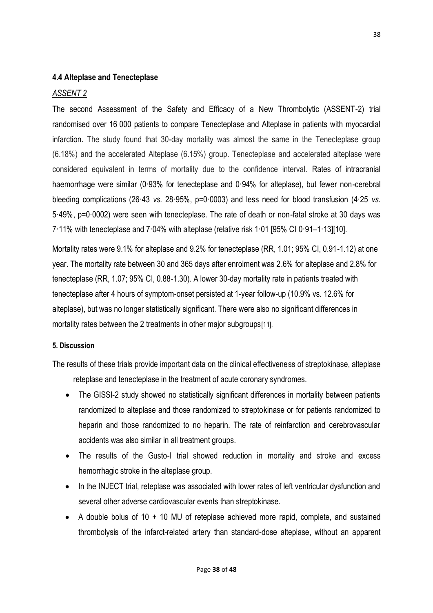## **4.4 Alteplase and Tenecteplase**

### *ASSENT 2*

The second Assessment of the Safety and Efficacy of a New Thrombolytic (ASSENT-2) trial randomised over 16 000 patients to compare Tenecteplase and Alteplase in patients with myocardial infarction. The study found that 30-day mortality was almost the same in the Tenecteplase group (6.18%) and the accelerated Alteplase (6.15%) group. Tenecteplase and accelerated alteplase were considered equivalent in terms of mortality due to the confidence interval. Rates of intracranial haemorrhage were similar (0·93% for tenecteplase and 0·94% for alteplase), but fewer non-cerebral bleeding complications (26·43 *vs.* 28·95%, p=0·0003) and less need for blood transfusion (4·25 *vs.* 5·49%, p=0·0002) were seen with tenecteplase. The rate of death or non-fatal stroke at 30 days was 7·11% with tenecteplase and 7·04% with alteplase (relative risk 1·01 [95% CI 0·91–1·13][\[10\]](#page-39-9).

Mortality rates were 9.1% for alteplase and 9.2% for tenecteplase (RR, 1.01; 95% CI, 0.91-1.12) at one year. The mortality rate between 30 and 365 days after enrolment was 2.6% for alteplase and 2.8% for tenecteplase (RR, 1.07; 95% CI, 0.88-1.30). A lower 30-day mortality rate in patients treated with tenecteplase after 4 hours of symptom-onset persisted at 1-year follow-up (10.9% vs. 12.6% for alteplase), but was no longer statistically significant. There were also no significant differences in mortality rates between the 2 treatments in other major subgroups[\[11\]](#page-39-10).

#### **5. Discussion**

The results of these trials provide important data on the clinical effectiveness of streptokinase, alteplase reteplase and tenecteplase in the treatment of acute coronary syndromes.

- The GISSI-2 study showed no statistically significant differences in mortality between patients randomized to alteplase and those randomized to streptokinase or for patients randomized to heparin and those randomized to no heparin. The rate of reinfarction and cerebrovascular accidents was also similar in all treatment groups.
- The results of the Gusto-I trial showed reduction in mortality and stroke and excess hemorrhagic stroke in the alteplase group.
- In the INJECT trial, reteplase was associated with lower rates of left ventricular dysfunction and several other adverse cardiovascular events than streptokinase.
- $\bullet$  A double bolus of 10  $+$  10 MU of reteplase achieved more rapid, complete, and sustained thrombolysis of the infarct-related artery than standard-dose alteplase, without an apparent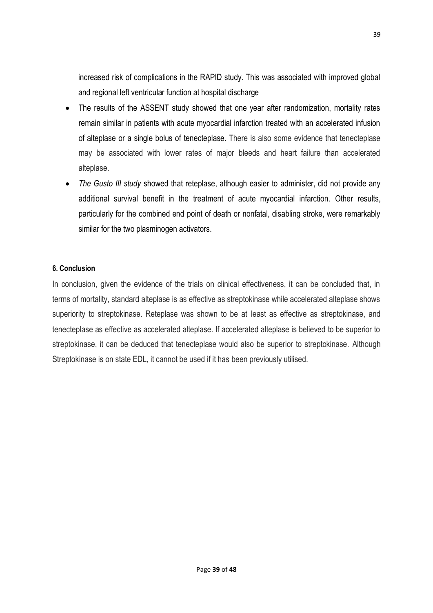increased risk of complications in the RAPID study. This was associated with improved global and regional left ventricular function at hospital discharge

- The results of the ASSENT study showed that one year after randomization, mortality rates remain similar in patients with acute myocardial infarction treated with an accelerated infusion of alteplase or a single bolus of tenecteplase. There is also some evidence that tenecteplase may be associated with lower rates of major bleeds and heart failure than accelerated alteplase.
- *The Gusto III study* showed that reteplase, although easier to administer, did not provide any additional survival benefit in the treatment of acute myocardial infarction. Other results, particularly for the combined end point of death or nonfatal, disabling stroke, were remarkably similar for the two plasminogen activators.

### **6. Conclusion**

In conclusion, given the evidence of the trials on clinical effectiveness, it can be concluded that, in terms of mortality, standard alteplase is as effective as streptokinase while accelerated alteplase shows superiority to streptokinase. Reteplase was shown to be at least as effective as streptokinase, and tenecteplase as effective as accelerated alteplase. If accelerated alteplase is believed to be superior to streptokinase, it can be deduced that tenecteplase would also be superior to streptokinase. Although Streptokinase is on state EDL, it cannot be used if it has been previously utilised.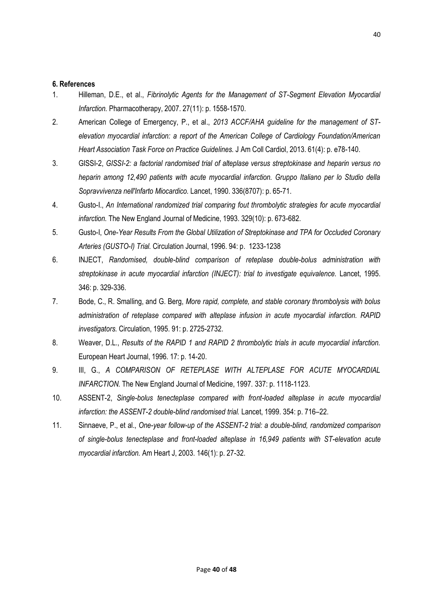#### **6. References**

- <span id="page-39-0"></span>1. Hilleman, D.E., et al., *Fibrinolytic Agents for the Management of ST-Segment Elevation Myocardial Infarction.* Pharmacotherapy, 2007. 27(11): p. 1558-1570.
- <span id="page-39-1"></span>2. American College of Emergency, P., et al., *2013 ACCF/AHA guideline for the management of STelevation myocardial infarction: a report of the American College of Cardiology Foundation/American Heart Association Task Force on Practice Guidelines.* J Am Coll Cardiol, 2013. 61(4): p. e78-140.
- <span id="page-39-2"></span>3. GISSI-2, *GISSI-2: a factorial randomised trial of alteplase versus streptokinase and heparin versus no heparin among 12,490 patients with acute myocardial infarction. Gruppo Italiano per lo Studio della Sopravvivenza nell'Infarto Miocardico.* Lancet, 1990. 336(8707): p. 65-71.
- <span id="page-39-3"></span>4. Gusto-I., *An International randomized trial comparing fout thrombolytic strategies for acute myocardial infarction.* The New England Journal of Medicine, 1993. 329(10): p. 673-682.
- <span id="page-39-4"></span>5. Gusto-I, *One-Year Results From the Global Utilization of Streptokinase and TPA for Occluded Coronary Arteries (GUSTO-I) Trial.* Circulation Journal, 1996. 94: p. 1233-1238
- <span id="page-39-5"></span>6. INJECT, *Randomised, double-blind comparison of reteplase double-bolus administration with streptokinase in acute myocardial infarction (INJECT): trial to investigate equivalence.* Lancet, 1995. 346: p. 329-336.
- <span id="page-39-6"></span>7. Bode, C., R. Smalling, and G. Berg, *More rapid, complete, and stable coronary thrombolysis with bolus administration of reteplase compared with alteplase infusion in acute myocardial infarction. RAPID investigators.* Circulation, 1995. 91: p. 2725-2732.
- <span id="page-39-7"></span>8. Weaver, D.L., *Results of the RAPID 1 and RAPID 2 thrombolytic trials in acute myocardial infarction.* European Heart Journal, 1996. 17: p. 14-20.
- <span id="page-39-8"></span>9. III, G., *A COMPARISON OF RETEPLASE WITH ALTEPLASE FOR ACUTE MYOCARDIAL INFARCTION.* The New England Journal of Medicine, 1997. 337: p. 1118-1123.
- <span id="page-39-9"></span>10. ASSENT-2, *Single-bolus tenecteplase compared with front-loaded alteplase in acute myocardial infarction: the ASSENT-2 double-blind randomised trial.* Lancet, 1999. 354: p. 716–22.
- <span id="page-39-10"></span>11. Sinnaeve, P., et al., *One-year follow-up of the ASSENT-2 trial: a double-blind, randomized comparison of single-bolus tenecteplase and front-loaded alteplase in 16,949 patients with ST-elevation acute myocardial infarction.* Am Heart J, 2003. 146(1): p. 27-32.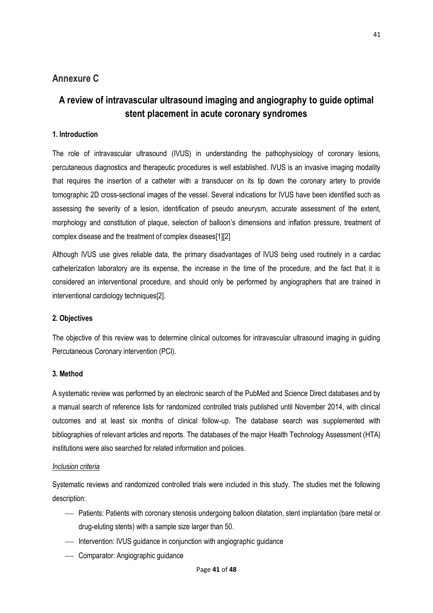## **Annexure C**

## **A review of intravascular ultrasound imaging and angiography to guide optimal stent placement in acute coronary syndromes**

### **1. Introduction**

The role of intravascular ultrasound (IVUS) in understanding the pathophysiology of coronary lesions, percutaneous diagnostics and therapeutic procedures is well established. IVUS is an invasive imaging modality that requires the insertion of a catheter with a transducer on its tip down the coronary artery to provide tomographic 2D cross-sectional images of the vessel. Several indications for IVUS have been identified such as assessing the severity of a lesion, identification of pseudo aneurysm, accurate assessment of the extent, morphology and constitution of plaque, selection of balloon's dimensions and inflation pressure, treatment of complex disease and the treatment of complex diseases[\[1\]](#page-39-0)[\[2\]](#page-39-1)

Although IVUS use gives reliable data, the primary disadvantages of IVUS being used routinely in a cardiac catheterization laboratory are its expense, the increase in the time of the procedure, and the fact that it is considered an interventional procedure, and should only be performed by angiographers that are trained in interventional cardiology techniques[\[2\]](#page-39-1).

#### **2. Objectives**

The objective of this review was to determine clinical outcomes for intravascular ultrasound imaging in guiding Percutaneous Coronary intervention (PCI).

#### **3. Method**

A systematic review was performed by an electronic search of the PubMed and Science Direct databases and by a manual search of reference lists for randomized controlled trials published until November 2014, with clinical outcomes and at least six months of clinical follow-up. The database search was supplemented with bibliographies of relevant articles and reports. The databases of the major Health Technology Assessment (HTA) institutions were also searched for related information and policies.

#### *Inclusion criteria*

Systematic reviews and randomized controlled trials were included in this study. The studies met the following description:

- Patients: Patients with coronary stenosis undergoing balloon dilatation, stent implantation (bare metal or drug-eluting stents) with a sample size larger than 50.
- Intervention: IVUS guidance in conjunction with angiographic guidance
- Comparator: Angiographic quidance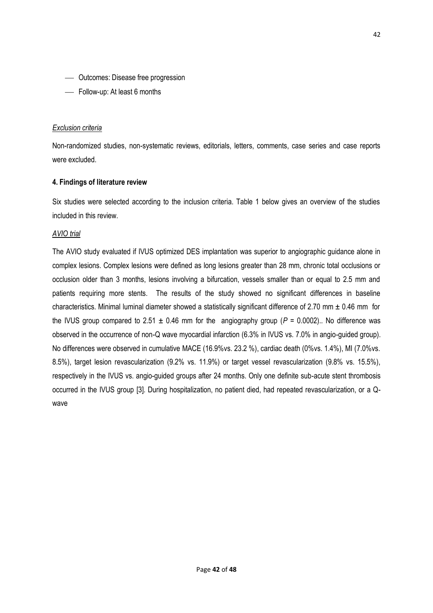- Outcomes: Disease free progression
- Follow-up: At least 6 months

#### *Exclusion criteria*

Non-randomized studies, non-systematic reviews, editorials, letters, comments, case series and case reports were excluded.

#### **4. Findings of literature review**

Six studies were selected according to the inclusion criteria. Table 1 below gives an overview of the studies included in this review.

#### *AVIO trial*

The AVIO study evaluated if IVUS optimized DES implantation was superior to angiographic guidance alone in complex lesions. Complex lesions were defined as long lesions greater than 28 mm, chronic total occlusions or occlusion older than 3 months, lesions involving a bifurcation, vessels smaller than or equal to 2.5 mm and patients requiring more stents. The results of the study showed no significant differences in baseline characteristics. Minimal luminal diameter showed a statistically significant difference of 2.70 mm ± 0.46 mm for the IVUS group compared to 2.51  $\pm$  0.46 mm for the angiography group ( $P = 0.0002$ ).. No difference was observed in the occurrence of non-Q wave myocardial infarction (6.3% in IVUS vs. 7.0% in angio-guided group). No differences were observed in cumulative MACE (16.9%vs. 23.2 %), cardiac death (0%vs. 1.4%), MI (7.0%vs. 8.5%), target lesion revascularization (9.2% vs. 11.9%) or target vessel revascularization (9.8% vs. 15.5%), respectively in the IVUS vs. angio-guided groups after 24 months. Only one definite sub-acute stent thrombosis occurred in the IVUS group [\[3\]](#page-39-2). During hospitalization, no patient died, had repeated revascularization, or a Qwave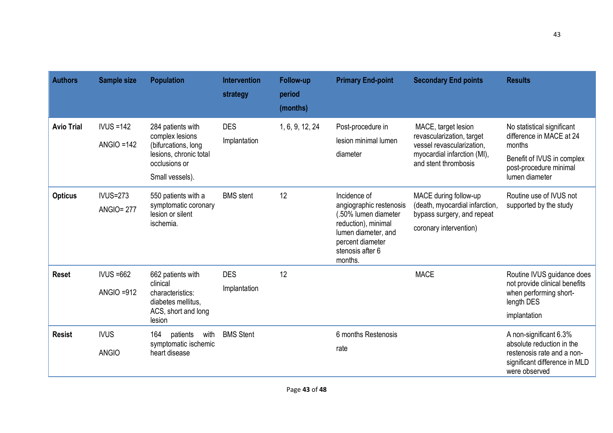| <b>Authors</b>    | Sample size                          | <b>Population</b>                                                                                                         | <b>Intervention</b><br>strategy | Follow-up<br>period<br>(months) | <b>Primary End-point</b>                                                                                                                                         | <b>Secondary End points</b>                                                                                                          | <b>Results</b>                                                                                                                             |
|-------------------|--------------------------------------|---------------------------------------------------------------------------------------------------------------------------|---------------------------------|---------------------------------|------------------------------------------------------------------------------------------------------------------------------------------------------------------|--------------------------------------------------------------------------------------------------------------------------------------|--------------------------------------------------------------------------------------------------------------------------------------------|
| <b>Avio Trial</b> | $IVUS = 142$<br>$ANGIO = 142$        | 284 patients with<br>complex lesions<br>(bifurcations, long<br>lesions, chronic total<br>occlusions or<br>Small vessels). | <b>DES</b><br>Implantation      | 1, 6, 9, 12, 24                 | Post-procedure in<br>lesion minimal lumen<br>diameter                                                                                                            | MACE, target lesion<br>revascularization, target<br>vessel revascularization,<br>myocardial infarction (MI),<br>and stent thrombosis | No statistical significant<br>difference in MACE at 24<br>months<br>Benefit of IVUS in complex<br>post-procedure minimal<br>lumen diameter |
| <b>Opticus</b>    | <b>IVUS=273</b><br><b>ANGIO= 277</b> | 550 patients with a<br>symptomatic coronary<br>lesion or silent<br>ischemia.                                              | <b>BMS</b> stent                | 12                              | Incidence of<br>angiographic restenosis<br>(.50% lumen diameter<br>reduction), minimal<br>lumen diameter, and<br>percent diameter<br>stenosis after 6<br>months. | MACE during follow-up<br>(death, myocardial infarction,<br>bypass surgery, and repeat<br>coronary intervention)                      | Routine use of IVUS not<br>supported by the study                                                                                          |
| <b>Reset</b>      | $IVUS = 662$<br>$ANGIO = 912$        | 662 patients with<br>clinical<br>characteristics:<br>diabetes mellitus.<br>ACS, short and long<br>lesion                  | <b>DES</b><br>Implantation      | 12                              |                                                                                                                                                                  | <b>MACE</b>                                                                                                                          | Routine IVUS guidance does<br>not provide clinical benefits<br>when performing short-<br>length DES<br>implantation                        |
| <b>Resist</b>     | <b>IVUS</b><br><b>ANGIO</b>          | with<br>164<br>patients<br>symptomatic ischemic<br>heart disease                                                          | <b>BMS Stent</b>                |                                 | 6 months Restenosis<br>rate                                                                                                                                      |                                                                                                                                      | A non-significant 6.3%<br>absolute reduction in the<br>restenosis rate and a non-<br>significant difference in MLD<br>were observed        |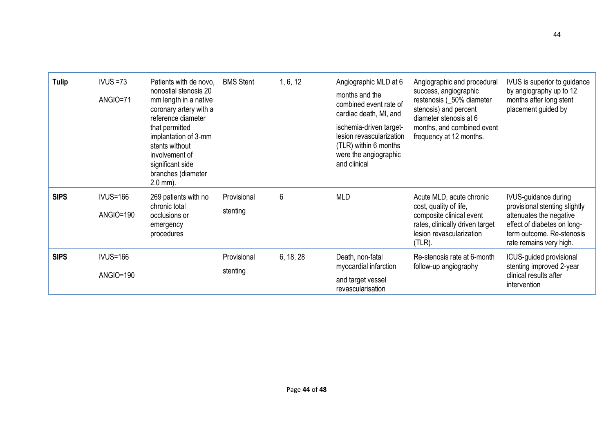| <b>Tulip</b> | $IVUS = 73$<br>ANGIO=71             | Patients with de novo.<br>nonostial stenosis 20<br>mm length in a native<br>coronary artery with a<br>reference diameter<br>that permitted<br>implantation of 3-mm<br>stents without<br>involvement of<br>significant side<br>branches (diameter<br>$2.0 \, \text{mm}$ ). | <b>BMS Stent</b>        | 1, 6, 12  | Angiographic MLD at 6<br>months and the<br>combined event rate of<br>cardiac death, MI, and<br>ischemia-driven target-<br>lesion revascularization<br>(TLR) within 6 months<br>were the angiographic<br>and clinical | Angiographic and procedural<br>success, angiographic<br>restenosis (_50% diameter<br>stenosis) and percent<br>diameter stenosis at 6<br>months, and combined event<br>frequency at 12 months. | IVUS is superior to guidance<br>by angiography up to 12<br>months after long stent<br>placement guided by                                                               |
|--------------|-------------------------------------|---------------------------------------------------------------------------------------------------------------------------------------------------------------------------------------------------------------------------------------------------------------------------|-------------------------|-----------|----------------------------------------------------------------------------------------------------------------------------------------------------------------------------------------------------------------------|-----------------------------------------------------------------------------------------------------------------------------------------------------------------------------------------------|-------------------------------------------------------------------------------------------------------------------------------------------------------------------------|
| <b>SIPS</b>  | <b>IVUS=166</b><br><b>ANGIO=190</b> | 269 patients with no<br>chronic total<br>occlusions or<br>emergency<br>procedures                                                                                                                                                                                         | Provisional<br>stenting | 6         | <b>MLD</b>                                                                                                                                                                                                           | Acute MLD, acute chronic<br>cost, quality of life,<br>composite clinical event<br>rates, clinically driven target<br>lesion revascularization<br>$(TLR)$ .                                    | IVUS-guidance during<br>provisional stenting slightly<br>attenuates the negative<br>effect of diabetes on long-<br>term outcome. Re-stenosis<br>rate remains very high. |
| <b>SIPS</b>  | <b>IVUS=166</b><br><b>ANGIO=190</b> |                                                                                                                                                                                                                                                                           | Provisional<br>stenting | 6, 18, 28 | Death, non-fatal<br>myocardial infarction<br>and target vessel<br>revascularisation                                                                                                                                  | Re-stenosis rate at 6-month<br>follow-up angiography                                                                                                                                          | ICUS-guided provisional<br>stenting improved 2-year<br>clinical results after<br>intervention                                                                           |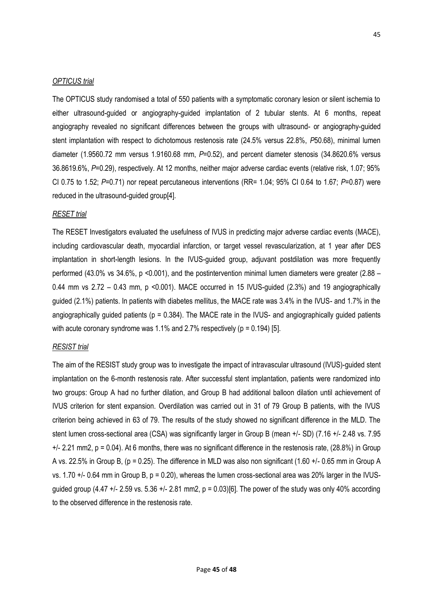#### *OPTICUS trial*

The OPTICUS study randomised a total of 550 patients with a symptomatic coronary lesion or silent ischemia to either ultrasound-guided or angiography-guided implantation of 2 tubular stents. At 6 months, repeat angiography revealed no significant differences between the groups with ultrasound- or angiography-guided stent implantation with respect to dichotomous restenosis rate (24.5% versus 22.8%, *P*50.68), minimal lumen diameter (1.9560.72 mm versus 1.9160.68 mm, P=0.52), and percent diameter stenosis (34.8620.6% versus 36.8619.6%, *P*=0.29), respectively. At 12 months, neither major adverse cardiac events (relative risk, 1.07; 95% CI 0.75 to 1.52; *P*=0.71) nor repeat percutaneous interventions (RR= 1.04; 95% CI 0.64 to 1.67; *P*=0.87) were reduced in the ultrasound-guided group[\[4\]](#page-39-3).

#### *RESET trial*

The RESET Investigators evaluated the usefulness of IVUS in predicting major adverse cardiac events (MACE), including cardiovascular death, myocardial infarction, or target vessel revascularization, at 1 year after DES implantation in short-length lesions. In the IVUS-guided group, adjuvant postdilation was more frequently performed (43.0% vs 34.6%, p <0.001), and the postintervention minimal lumen diameters were greater (2.88 – 0.44 mm vs  $2.72 - 0.43$  mm, p <0.001). MACE occurred in 15 IVUS-guided (2.3%) and 19 angiographically guided (2.1%) patients. In patients with diabetes mellitus, the MACE rate was 3.4% in the IVUS- and 1.7% in the angiographically guided patients ( $p = 0.384$ ). The MACE rate in the IVUS- and angiographically guided patients with acute coronary syndrome was 1.1% and 2.7% respectively ( $p = 0.194$ ) [\[5\]](#page-39-4).

#### *RESIST trial*

The aim of the RESIST study group was to investigate the impact of intravascular ultrasound (IVUS)-guided stent implantation on the 6-month restenosis rate. After successful stent implantation, patients were randomized into two groups: Group A had no further dilation, and Group B had additional balloon dilation until achievement of IVUS criterion for stent expansion. Overdilation was carried out in 31 of 79 Group B patients, with the IVUS criterion being achieved in 63 of 79. The results of the study showed no significant difference in the MLD. The stent lumen cross-sectional area (CSA) was significantly larger in Group B (mean +/- SD) (7.16 +/- 2.48 vs. 7.95  $+/-$  2.21 mm2, p = 0.04). At 6 months, there was no significant difference in the restenosis rate, (28.8%) in Group A vs. 22.5% in Group B, (p = 0.25). The difference in MLD was also non significant (1.60 +/- 0.65 mm in Group A vs. 1.70  $+/-$  0.64 mm in Group B,  $p = 0.20$ ), whereas the lumen cross-sectional area was 20% larger in the IVUSguided group (4.47  $+/-$  2.59 vs. 5.36  $+/-$  2.81 mm2, p = 0.03)[\[6\]](#page-39-5). The power of the study was only 40% according to the observed difference in the restenosis rate.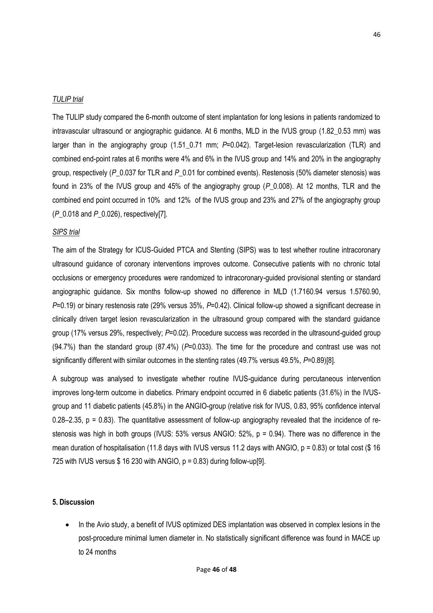#### *TULIP trial*

The TULIP study compared the 6-month outcome of stent implantation for long lesions in patients randomized to intravascular ultrasound or angiographic guidance. At 6 months, MLD in the IVUS group (1.82\_0.53 mm) was larger than in the angiography group (1.51\_0.71 mm; *P*=0.042). Target-lesion revascularization (TLR) and combined end-point rates at 6 months were 4% and 6% in the IVUS group and 14% and 20% in the angiography group, respectively (*P*\_0.037 for TLR and *P*\_0.01 for combined events). Restenosis (50% diameter stenosis) was found in 23% of the IVUS group and 45% of the angiography group (*P*\_0.008). At 12 months, TLR and the combined end point occurred in 10% and 12% of the IVUS group and 23% and 27% of the angiography group (*P*\_0.018 and *P*\_0.026), respectively[\[7\].](#page-39-6)

#### *SIPS trial*

The aim of the Strategy for ICUS-Guided PTCA and Stenting (SIPS) was to test whether routine intracoronary ultrasound guidance of coronary interventions improves outcome. Consecutive patients with no chronic total occlusions or emergency procedures were randomized to intracoronary-guided provisional stenting or standard angiographic guidance. Six months follow-up showed no difference in MLD (1.7160.94 versus 1.5760.90, *P*=0.19) or binary restenosis rate (29% versus 35%, *P*=0.42). Clinical follow-up showed a significant decrease in clinically driven target lesion revascularization in the ultrasound group compared with the standard guidance group (17% versus 29%, respectively; *P*=0.02). Procedure success was recorded in the ultrasound-guided group (94.7%) than the standard group (87.4%) (*P*=0.033). The time for the procedure and contrast use was not significantly different with similar outcomes in the stenting rates (49.7% versus 49.5%, *P*=0.89)[\[8\].](#page-39-7)

A subgroup was analysed to investigate whether routine IVUS-guidance during percutaneous intervention improves long-term outcome in diabetics. Primary endpoint occurred in 6 diabetic patients (31.6%) in the IVUSgroup and 11 diabetic patients (45.8%) in the ANGIO-group (relative risk for IVUS, 0.83, 95% confidence interval 0.28–2.35, p = 0.83). The quantitative assessment of follow-up angiography revealed that the incidence of restenosis was high in both groups (IVUS: 53% versus ANGIO: 52%, p = 0.94). There was no difference in the mean duration of hospitalisation (11.8 days with IVUS versus 11.2 days with ANGIO,  $p = 0.83$ ) or total cost (\$ 16 725 with IVUS versus  $$16$  230 with ANGIO,  $p = 0.83$ ) during follow-up[\[9\]](#page-39-8).

#### **5. Discussion**

• In the Avio study, a benefit of IVUS optimized DES implantation was observed in complex lesions in the post-procedure minimal lumen diameter in. No statistically significant difference was found in MACE up to 24 months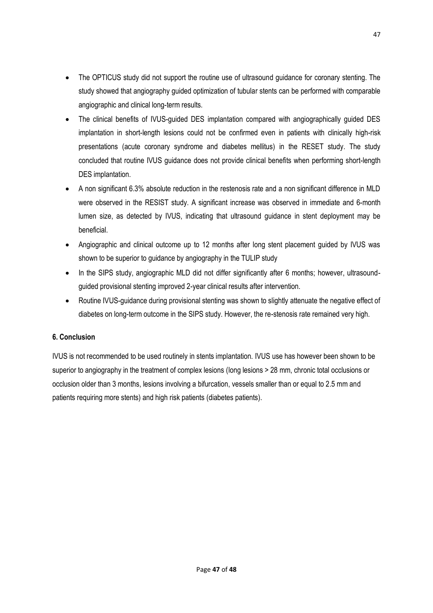- The OPTICUS study did not support the routine use of ultrasound quidance for coronary stenting. The study showed that angiography guided optimization of tubular stents can be performed with comparable angiographic and clinical long-term results.
- The clinical benefits of IVUS-quided DES implantation compared with angiographically guided DES implantation in short-length lesions could not be confirmed even in patients with clinically high-risk presentations (acute coronary syndrome and diabetes mellitus) in the RESET study. The study concluded that routine IVUS guidance does not provide clinical benefits when performing short-length DES implantation.
- A non significant 6.3% absolute reduction in the restenosis rate and a non significant difference in MLD were observed in the RESIST study. A significant increase was observed in immediate and 6-month lumen size, as detected by IVUS, indicating that ultrasound guidance in stent deployment may be beneficial.
- Angiographic and clinical outcome up to 12 months after long stent placement guided by IVUS was shown to be superior to guidance by angiography in the TULIP study
- In the SIPS study, angiographic MLD did not differ significantly after 6 months; however, ultrasoundguided provisional stenting improved 2-year clinical results after intervention.
- Routine IVUS-quidance during provisional stenting was shown to slightly attenuate the negative effect of diabetes on long-term outcome in the SIPS study. However, the re-stenosis rate remained very high.

## **6. Conclusion**

IVUS is not recommended to be used routinely in stents implantation. IVUS use has however been shown to be superior to angiography in the treatment of complex lesions (long lesions > 28 mm, chronic total occlusions or occlusion older than 3 months, lesions involving a bifurcation, vessels smaller than or equal to 2.5 mm and patients requiring more stents) and high risk patients (diabetes patients).